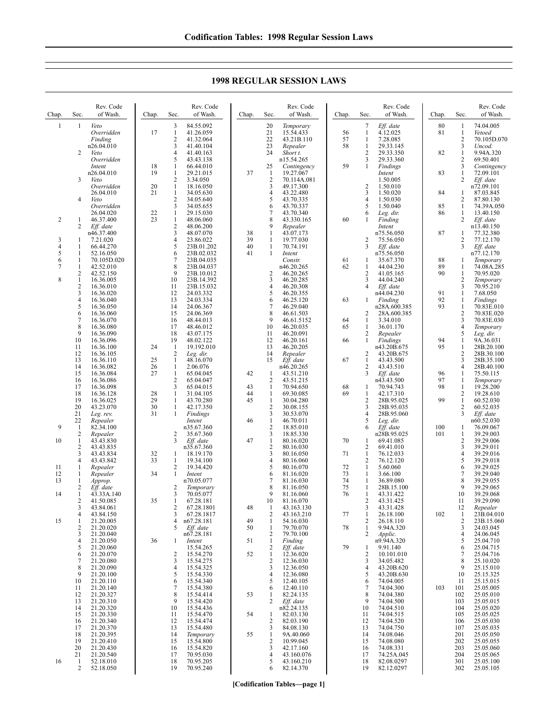| Chap.               | Sec.                                  | Rev. Code<br>of Wash.                | Chap.    | Sec.                                                    | Rev. Code<br>of Wash.               | Chap.    | Sec.                                 | Rev. Code<br>of Wash.                   | Chap.    | Sec.                                                        | Rev. Code<br>of Wash.               | Chap.    | Sec.                                       | Rev. Code<br>of Wash.                  |
|---------------------|---------------------------------------|--------------------------------------|----------|---------------------------------------------------------|-------------------------------------|----------|--------------------------------------|-----------------------------------------|----------|-------------------------------------------------------------|-------------------------------------|----------|--------------------------------------------|----------------------------------------|
| $\mathbf{1}$        | 1                                     | Veto<br>Overridden<br>Finding        | 17       | 3<br>$\mathbf{1}$<br>$\overline{2}$                     | 84.55.092<br>41.26.059<br>41.32.064 |          | 20<br>21<br>22                       | Temporary<br>15.54.433<br>43.21B.110    | 56<br>57 | 7<br>$\mathbf{1}$<br>$\mathbf{1}$                           | Eff. date<br>4.12.025<br>7.28.085   | 80<br>81 | $\mathbf{1}$<br>$\mathbf{1}$<br>$\sqrt{2}$ | 74.04.005<br>Vetoed<br>70.105D.070     |
|                     | 2                                     | n26.04.010<br>Veto<br>Overridden     |          | 3<br>4<br>5                                             | 41.40.104<br>41.40.163<br>43.43.138 |          | 23<br>24                             | Repealer<br>Short t.<br>n15.54.265      | 58       | $\mathbf{1}$<br>$\overline{2}$<br>$\overline{\mathbf{3}}$   | 29.33.145<br>29.33.350<br>29.33.360 | 82       | 3<br>$\mathbf{1}$<br>$\overline{c}$        | Uncod.<br>9.94A.320<br>69.50.401       |
|                     | 3                                     | Intent<br>n26.04.010<br>Veto         | 18<br>19 | 1<br>$\mathbf{1}$<br>$\overline{c}$                     | 66.44.010<br>29.21.015<br>3.34.050  | 37       | 25<br>$\mathbf{1}$<br>$\overline{2}$ | Contingency<br>19.27.067<br>70.114A.081 | 59       | -1                                                          | Findings<br>Intent<br>1.50.005      | 83       | 3<br>$\mathbf{1}$<br>$\mathbf{2}$          | Contingency<br>72.09.101<br>Eff. date  |
|                     | 4                                     | Overridden<br>26.04.010<br>Veto      | 20<br>21 | $\mathbf{1}$<br>$\mathbf{1}$<br>$\overline{\mathbf{c}}$ | 18.16.050<br>34.05.630<br>34.05.640 |          | 3<br>4<br>5                          | 49.17.300<br>43.22.480<br>43.70.335     |          | $\overline{c}$<br>$\overline{\mathbf{3}}$<br>$\overline{4}$ | 1.50.010<br>1.50.020<br>1.50.030    | 84       | 1<br>2                                     | n72.09.101<br>87.03.845<br>87.80.130   |
|                     |                                       | Overridden<br>26.04.020              | 22       | 3<br>$\mathbf{1}$                                       | 34.05.655<br>29.15.030              |          | 6<br>7                               | 43.70.337<br>43.70.340                  |          | 5<br>6                                                      | 1.50.040<br>Leg. dir.               | 85<br>86 | $\mathbf{1}$<br>1                          | 74.39A.050<br>13.40.150                |
| $\overline{2}$      | $\mathbf{1}$<br>2                     | 46.37.400<br>Eff. date<br>n46.37.400 | 23       | $\mathbf{1}$<br>$\overline{c}$<br>3                     | 48.06.060<br>48.06.200<br>48.07.070 | 38       | 8<br>9<br>1                          | 43.330.165<br>Repealer<br>43.07.173     | 60       | 1                                                           | Finding<br>Intent<br>n75.56.050     | 87       | 2<br>1                                     | Eff. date<br>n13.40.150<br>77.32.380   |
| 3<br>$\overline{4}$ | 1<br>1                                | 7.21.020<br>66.44.270                |          | 4<br>5                                                  | 23.86.022<br>23B.01.202             | 39<br>40 | 1<br>$\mathbf{1}$                    | 19.77.030<br>70.74.191                  |          | 2<br>3                                                      | 75.56.050<br>Eff. date              |          | $\overline{c}$<br>3                        | 77.12.170<br>Eff. date                 |
| 5<br>6              | 1<br>1                                | 52.16.050<br>70.105D.020             |          | 6<br>7                                                  | 23B.02.032<br>23B.04.035            | 41       | 1                                    | Intent<br>Constr.                       | 61       | -1                                                          | n75.56.050<br>35.67.370             | 88       | 1                                          | n77.12.170<br>Temporary                |
| 7                   | $\mathbf{1}$<br>2                     | 42.52.010<br>42.52.150               |          | 8<br>9                                                  | 23B.04.037<br>23B.10.012            |          | 2                                    | n46.20.265<br>46.20.265                 | 62       | -1<br>2                                                     | 44.04.230<br>41.05.165              | 89<br>90 | 1<br>$\mathbf{1}$                          | 74.08A.285<br>70.95.020                |
| 8                   | $\mathbf{1}$<br>$\overline{2}$        | 16.36.005<br>16.36.010               |          | 10<br>11                                                | 23B.14.392<br>23B.15.032            |          | 3<br>4                               | 46.20.285<br>46.20.308                  |          | 3<br>$\overline{4}$                                         | 44.04.240<br>Eff. date              |          | 2<br>3                                     | Temporary<br>70.95.210                 |
|                     | 3<br>$\overline{4}$                   | 16.36.020<br>16.36.040               |          | 12<br>13                                                | 24.03.332<br>24.03.334              |          | 5<br>6                               | 46.20.355<br>46.25.120                  | 63       | -1                                                          | n44.04.230<br>Finding               | 91<br>92 | $\mathbf{1}$<br>1                          | 7.68.050<br><b>Findings</b>            |
|                     | 5<br>6                                | 16.36.050<br>16.36.060               |          | 14<br>15                                                | 24.06.367<br>24.06.369              |          | 7<br>8<br>9                          | 46.29.040<br>46.61.503                  |          | 2                                                           | n28A.600.385<br>28A.600.385         | 93       | $\mathbf{1}$<br>$\overline{c}$             | 70.83E.010<br>70.83E.020<br>70.83E.030 |
|                     | $\tau$<br>8<br>9                      | 16.36.070<br>16.36.080<br>16.36.090  |          | 16<br>17<br>18                                          | 48.44.013<br>48.46.012<br>43.07.175 |          | 10<br>11                             | 46.61.5152<br>46.20.035<br>46.20.091    | 64<br>65 | 1<br>-1<br>2                                                | 3.34.010<br>36.01.170<br>Repealer   |          | 3<br>$\overline{4}$<br>5                   | Temporary<br>Leg. dir.                 |
|                     | 10<br>11                              | 16.36.096<br>16.36.100               | 24       | 19<br>-1                                                | 48.02.122<br>19.192.010             |          | 12<br>13                             | 46.20.161<br>46.20.205                  | 66       | $\mathbf{1}$                                                | Findings<br>n43.20B.675             | 94<br>95 | $\mathbf{1}$<br>$\mathbf{1}$               | 9A.36.031<br>28B.20.100                |
|                     | 12<br>13                              | 16.36.105<br>16.36.110               | 25       | 2<br>$\mathbf{1}$                                       | Leg. dir.<br>48.16.070              |          | 14<br>15                             | Repealer<br>Eff. date                   | 67       | $\overline{c}$<br>$\mathbf{1}$                              | 43.20B.675<br>43.43.500             |          | $\sqrt{2}$<br>$\mathfrak{Z}$               | 28B.30.100<br>28B.35.100               |
|                     | 14<br>15                              | 16.36.082<br>16.36.084               | 26<br>27 | $\mathbf{1}$<br>$\mathbf{1}$                            | 2.06.076<br>65.04.045               | 42       | 1                                    | n46.20.265<br>43.51.210                 |          | $\overline{2}$<br>3                                         | 43.43.510<br>Eff. date              | 96       | $\overline{4}$<br>1                        | 28B.40.100<br>75.50.115                |
|                     | 16<br>17                              | 16.36.086<br>16.36.098               |          | $\overline{2}$<br>3                                     | 65.04.047<br>65.04.015              | 43       | 2<br>1                               | 43.51.215<br>70.94.650                  | 68       | -1                                                          | n43.43.500<br>70.94.743             | 97<br>98 | 1<br>$\mathbf{1}$                          | Temporary<br>19.28.200                 |
|                     | 18<br>19                              | 16.36.128<br>16.36.025               | 28<br>29 | $\mathbf{1}$<br>$\mathbf{1}$                            | 31.04.105<br>43.70.280              | 44<br>45 | $\mathbf{1}$<br>$\mathbf{1}$         | 69.30.085<br>30.04.280                  | 69       | -1<br>2                                                     | 42.17.310<br>28B.95.025             | 99       | $\mathbf{2}$<br>$\mathbf{1}$               | 19.28.610<br>60.52.030                 |
|                     | 20<br>21                              | 43.23.070<br>Leg. rev.               | 30<br>31 | $\mathbf{1}$<br>1                                       | 42.17.350<br>Findings               |          | 2<br>3                               | 30.08.155<br>30.53.070                  |          | 3<br>$\overline{4}$                                         | 28B.95.035<br>28B.95.060            |          | $\overline{c}$<br>3                        | 60.52.035<br>Eff. date                 |
| 9                   | 22<br>$\mathbf{1}$                    | Repealer<br>82.34.100                |          |                                                         | Intent<br>n35.67.360                | 46       | 1<br>2                               | 46.70.011<br>18.85.010                  |          | 5<br>6                                                      | Leg. dir.<br>Eff. date              | 100      | 1                                          | n60.52.030<br>76.09.067                |
| 10                  | 2<br>$\mathbf{1}$                     | Repealer<br>43.43.830                |          | $\overline{c}$<br>3                                     | 35.67.360<br>Eff. date              | 47       | 3<br>$\mathbf{1}$                    | 18.85.330<br>80.16.020                  | 70       | -1                                                          | n28B.95.025<br>69.41.085            | 101      | 1<br>$\overline{c}$                        | 39.29.003<br>39.29.006                 |
|                     | $\overline{c}$<br>3<br>$\overline{4}$ | 43.43.835<br>43.43.834               | 32<br>33 | $\mathbf{1}$<br>$\mathbf{1}$                            | n35.67.360<br>18.19.170             |          | 2<br>3<br>4                          | 80.16.030<br>80.16.050                  | 71       | $\sqrt{2}$<br>$\mathbf{1}$<br>$\overline{2}$                | 69.41.010<br>76.12.033              |          | 3<br>$\overline{4}$<br>5                   | 39.29.011<br>39.29.016                 |
| 11<br>12            | 1<br>1                                | 43.43.842<br>Repealer<br>Repealer    | 34       | 2<br>$\mathbf{1}$                                       | 19.34.100<br>19.34.420<br>Intent    |          | 5<br>6                               | 80.16.060<br>80.16.070<br>81.16.020     | 72<br>73 | $\mathbf{1}$<br>$\mathbf{1}$                                | 76.12.120<br>5.60.060<br>3.66.100   |          | 6<br>$\tau$                                | 39.29.018<br>39.29.025<br>39.29.040    |
| 13                  | 1<br>2                                | Approp.<br>Eff. date                 |          | 2                                                       | n70.05.077<br>Temporary             |          | 7<br>8                               | 81.16.030<br>81.16.050                  | 74<br>75 | $\mathbf{1}$<br>-1                                          | 36.89.080<br>28B.15.100             |          | 8<br>9                                     | 39.29.055<br>39.29.065                 |
| 14                  | $\mathbf{1}$<br>2                     | 43.33A.140<br>41.50.085              | 35       | 3<br>$\mathbf{1}$                                       | 70.05.077<br>67.28.181              |          | 9<br>10                              | 81.16.060<br>81.16.070                  | 76       | $\mathbf{1}$<br>2                                           | 43.31.422<br>43.31.425              |          | 10<br>11                                   | 39.29.068<br>39.29.090                 |
|                     | 3<br>4                                | 43.84.061<br>43.84.150               |          | 2<br>3                                                  | 67.28.1801<br>67.28.1817            | 48       | -1<br>2                              | 43.163.130<br>43.163.210                | 77       | 3<br>-1                                                     | 43.31.428<br>26.18.100              | 102      | 12<br>1                                    | Repealer<br>23B.04.010                 |
| 15                  | 1<br>2                                | 21.20.005<br>21.20.020               |          | 4<br>5                                                  | n67.28.181<br>Eff. date             | 49<br>50 | 1<br>$\mathbf{1}$                    | 54.16.030<br>79.70.070                  | 78       | $\overline{2}$<br>$\mathbf{1}$                              | 26.18.110<br>9.94A.320              |          | 2<br>3                                     | 23B.15.060<br>24.03.045                |
|                     | 3<br>$\overline{4}$                   | 21.20.040<br>21.20.050               | 36       | 1                                                       | n67.28.181<br>Intent                | 51       | 2<br>$\mathbf{1}$                    | 79.70.100<br>Finding                    |          | $\overline{c}$                                              | Applic.<br>n9.94A.320               |          | 4<br>5                                     | 24.06.045<br>25.04.710                 |
|                     | 5<br>6                                | 21.20.060<br>21.20.070               |          | 2                                                       | 15.54.265<br>15.54.270              | 52       | 2<br>$\mathbf{1}$                    | Eff. date<br>12.36.020                  | 79       | -1<br>$\overline{c}$                                        | 9.91.140<br>10.101.010              |          | 6<br>$\tau$                                | 25.04.715<br>25.04.716                 |
|                     | 7<br>8                                | 21.20.080<br>21.20.090               |          | 3<br>4                                                  | 15.54.275<br>15.54.325              |          | 2<br>3                               | 12.36.030<br>12.36.050                  |          | 3<br>4                                                      | 34.05.482<br>43.20B.620             |          | 8<br>9                                     | 25.10.020<br>25.15.010                 |
|                     | 9<br>10                               | 21.20.100<br>21.20.110               |          | 5<br>6                                                  | 15.54.330<br>15.54.340              |          | 4<br>5                               | 12.36.080<br>12.40.105                  |          | 5<br>6                                                      | 43.20B.630<br>74.04.005             |          | 10<br>11                                   | 25.15.325<br>25.15.015                 |
|                     | 11<br>12<br>13                        | 21.20.140<br>21.20.327<br>21.20.310  |          | 7<br>8<br>9                                             | 15.54.380<br>15.54.414<br>15.54.420 | 53       | 6<br>1<br>2                          | 12.40.110<br>82.24.135                  |          | $\overline{7}$<br>8<br>9                                    | 74.04.300<br>74.04.380<br>74.04.500 | 103      | 101<br>102<br>103                          | 25.05.005<br>25.05.010<br>25.05.015    |
|                     | 14<br>15                              | 21.20.320<br>21.20.330               |          | 10<br>11                                                | 15.54.436<br>15.54.470              | 54       | 1                                    | Eff. date<br>n82.24.135<br>82.03.130    |          | 10<br>11                                                    | 74.04.510<br>74.04.515              |          | 104<br>105                                 | 25.05.020<br>25.05.025                 |
|                     | 16<br>17                              | 21.20.340<br>21.20.370               |          | 12<br>13                                                | 15.54.474<br>15.54.480              |          | 2<br>3                               | 82.03.190<br>84.08.130                  |          | 12<br>13                                                    | 74.04.520<br>74.04.750              |          | 106<br>107                                 | 25.05.030<br>25.05.035                 |
|                     | 18<br>19                              | 21.20.395<br>21.20.410               |          | 14<br>15                                                | Temporary<br>15.54.800              | 55       | 1<br>2                               | 9A.40.060<br>10.99.045                  |          | 14<br>15                                                    | 74.08.046<br>74.08.080              |          | 201<br>202                                 | 25.05.050<br>25.05.055                 |
|                     | 20<br>21                              | 21.20.430<br>21.20.540               |          | 16<br>17                                                | 15.54.820<br>70.95.030              |          | 3<br>4                               | 42.17.160<br>43.160.076                 |          | 16<br>17                                                    | 74.08.331<br>74.25A.045             |          | 203<br>204                                 | 25.05.060<br>25.05.065                 |
| 16                  | -1<br>2                               | 52.18.010<br>52.18.050               |          | 18<br>19                                                | 70.95.205<br>70.95.240              |          | 5<br>6                               | 43.160.210<br>82.14.370                 |          | 18<br>19                                                    | 82.08.0297<br>82.12.0297            |          | 301<br>302                                 | 25.05.100<br>25.05.105                 |

## **1998 REGULAR SESSION LAWS**

**[Codification Tables—page 1]**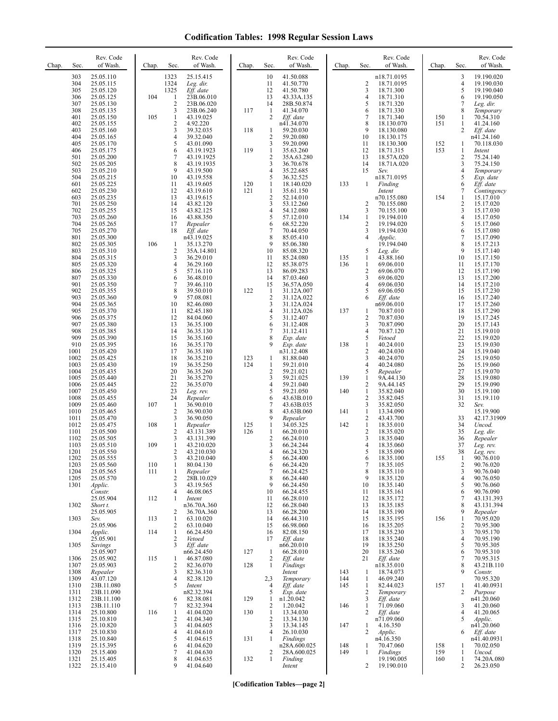| Chap. | Sec.                                 | Rev. Code<br>of Wash.                                         | Chap.      | Sec.                                                              | Rev. Code<br>of Wash.                                            | Chap.      | Sec.                                              | Rev. Code<br>of Wash.                                         | Chap.             | Sec.                                                              | Rev. Code<br>of Wash.                                         | Chap.             | Sec.                                           | Rev. Code<br>of Wash.                                         |
|-------|--------------------------------------|---------------------------------------------------------------|------------|-------------------------------------------------------------------|------------------------------------------------------------------|------------|---------------------------------------------------|---------------------------------------------------------------|-------------------|-------------------------------------------------------------------|---------------------------------------------------------------|-------------------|------------------------------------------------|---------------------------------------------------------------|
|       | 303<br>304<br>305<br>306             | 25.05.110<br>25.05.115<br>25.05.120<br>25.05.125              | 104        | 1323<br>1324<br>1325<br>$\mathbf{1}$                              | 25.15.415<br>Leg. dir.<br>Eff. date<br>23B.06.010                |            | 10<br>11<br>12<br>13                              | 41.50.088<br>41.50.770<br>41.50.780<br>43.33A.135             |                   | $\frac{2}{3}$<br>4                                                | n18.71.0195<br>18.71.0195<br>18.71.300<br>18.71.310           |                   | 3<br>4<br>5<br>6                               | 19.190.020<br>19.190.030<br>19.190.040<br>19.190.050          |
|       | 307<br>308<br>401<br>402             | 25.05.130<br>25.05.135<br>25.05.150<br>25.05.155              | 105        | $\overline{2}$<br>3<br>$\mathbf{1}$<br>$\overline{\mathbf{c}}$    | 23B.06.020<br>23B.06.240<br>43.19.025<br>4.92.220                | 117        | 14<br>$\mathbf{1}$<br>$\overline{c}$              | 28B.50.874<br>41.34.070<br>Eff. date<br>n41.34.070            |                   | 5<br>6<br>$\overline{7}$<br>8                                     | 18.71.320<br>18.71.330<br>18.71.340<br>18.130.070             | 150<br>151        | 7<br>8<br>1<br>1                               | Leg. dir.<br>Temporary<br>70.54.310<br>41.24.160              |
|       | 403<br>404<br>405<br>406             | 25.05.160<br>25.05.165<br>25.05.170<br>25.05.175              |            | 3<br>$\overline{4}$<br>5<br>6                                     | 39.32.035<br>39.32.040<br>43.01.090<br>43.19.1923                | 118<br>119 | 1<br>$\overline{2}$<br>3<br>$\mathbf{1}$          | 59.20.030<br>59.20.080<br>59.20.090<br>35.63.260              |                   | 9<br>10<br>11<br>12                                               | 18.130.080<br>18.130.175<br>18.130.300<br>18.71.315           | 152<br>153        | $\overline{c}$<br>$\mathbf{1}$<br>$\mathbf{1}$ | Eff. date<br>n41.24.160<br>70.118.030<br>Intent               |
|       | 501<br>502<br>503<br>504             | 25.05.200<br>25.05.205<br>25.05.210<br>25.05.215              |            | 7<br>8<br>9<br>10                                                 | 43.19.1925<br>43.19.1935<br>43.19.500<br>43.19.558               |            | $\overline{c}$<br>3<br>4<br>5                     | 35A.63.280<br>36.70.678<br>35.22.685<br>36.32.525             |                   | 13<br>14<br>15                                                    | 18.57A.020<br>18.71A.020<br>Sev.<br>n18.71.0195               |                   | 2<br>3<br>4<br>5                               | 75.24.140<br>75.24.150<br>Temporary<br>Exp. date              |
|       | 601<br>602<br>603<br>701             | 25.05.225<br>25.05.230<br>25.05.235<br>25.05.250              |            | 11<br>12<br>13<br>14                                              | 43.19.605<br>43.19.610<br>43.19.615<br>43.82.120                 | 120<br>121 | 1<br>1<br>$\overline{c}$<br>3                     | 18.140.020<br>35.61.150<br>52.14.010<br>53.12.260             | 133               | -1<br>$\overline{c}$                                              | Finding<br>Intent<br>n70.155.080<br>70.155.080                | 154               | 6<br>7<br>1<br>$\overline{c}$                  | Eff. date<br>Contingency<br>15.17.010<br>15.17.020            |
|       | 702<br>703<br>704<br>705             | 25.05.255<br>25.05.260<br>25.05.265<br>25.05.270              |            | 15<br>16<br>17<br>18                                              | 43.82.125<br>43.88.350<br>Repealer<br>Eff. date                  |            | $\overline{4}$<br>5<br>6<br>7                     | 54.12.080<br>57.12.010<br>68.52.220<br>70.44.050              | 134               | 3<br>-1<br>$\overline{2}$<br>3                                    | 70.155.100<br>19.194.010<br>19.194.020<br>19.194.030          |                   | 3<br>4<br>5<br>6                               | 15.17.030<br>15.17.050<br>15.17.060<br>15.17.080              |
|       | 801<br>802<br>803<br>804             | 25.05.300<br>25.05.305<br>25.05.310<br>25.05.315              | 106        | 1<br>$\overline{\mathbf{c}}$<br>3                                 | n43.19.025<br>35.13.270<br>35A.14.801<br>36.29.010               |            | 8<br>9<br>10<br>11                                | 85.05.410<br>85.06.380<br>85.08.320<br>85.24.080              | 135               | $\overline{4}$<br>5<br>-1                                         | Applic.<br>19.194.040<br>Leg. dir.<br>43.88.160               |                   | 7<br>8<br>9<br>10                              | 15.17.090<br>15.17.213<br>15.17.140<br>15.17.150              |
|       | 805<br>806<br>807<br>901             | 25.05.320<br>25.05.325<br>25.05.330<br>25.05.350              |            | $\overline{4}$<br>5<br>6<br>7                                     | 36.29.160<br>57.16.110<br>36.48.010<br>39.46.110                 |            | 12<br>13<br>14<br>15                              | 85.38.075<br>86.09.283<br>87.03.460<br>36.57A.050             | 136               | $\mathbf{1}$<br>$\overline{2}$<br>3<br>$\overline{4}$             | 69.06.010<br>69.06.070<br>69.06.020<br>69.06.030              |                   | 11<br>12<br>13<br>14                           | 15.17.170<br>15.17.190<br>15.17.200<br>15.17.210              |
|       | 902<br>903<br>904<br>905             | 25.05.355<br>25.05.360<br>25.05.365<br>25.05.370              |            | 8<br>9<br>10<br>11                                                | 39.50.010<br>57.08.081<br>82.46.080<br>82.45.180                 | 122        | $\mathbf{1}$<br>$\sqrt{2}$<br>3<br>$\overline{4}$ | 31.12A.007<br>31.12A.022<br>31.12A.024<br>31.12A.026          | 137               | 5<br>6<br>$\mathbf{1}$                                            | 69.06.050<br>Eff. date<br>n69.06.010<br>70.87.010             |                   | 15<br>16<br>17<br>18                           | 15.17.230<br>15.17.240<br>15.17.260<br>15.17.290              |
|       | 906<br>907<br>908<br>909             | 25.05.375<br>25.05.380<br>25.05.385<br>25.05.390              |            | 12<br>13<br>14<br>15                                              | 84.04.060<br>36.35.100<br>36.35.130<br>36.35.160                 |            | 5<br>6<br>7<br>8                                  | 31.12.407<br>31.12.408<br>31.12.411<br>Exp. date              |                   | $\overline{2}$<br>3<br>$\overline{4}$<br>5                        | 70.87.030<br>70.87.090<br>70.87.120<br>Vetoed                 |                   | 19<br>20<br>21<br>22                           | 15.17.245<br>15.17.143<br>15.19.010<br>15.19.020              |
|       | 910<br>1001<br>1002<br>1003          | 25.05.395<br>25.05.420<br>25.05.425<br>25.05.430              |            | 16<br>17<br>18<br>19                                              | 36.35.170<br>36.35.180<br>36.35.210<br>36.35.250                 | 123<br>124 | 9<br>1<br>1                                       | Exp. date<br>n31.12.408<br>81.88.040<br>59.21.010             | 138               | $\mathbf{1}$<br>$\overline{2}$<br>3<br>4                          | 40.24.010<br>40.24.030<br>40.24.070<br>40.24.080              |                   | 23<br>24<br>25<br>26                           | 15.19.030<br>15.19.040<br>15.19.050<br>15.19.060              |
|       | 1004<br>1005<br>1006<br>1007         | 25.05.435<br>25.05.440<br>25.05.445<br>25.05.450              |            | 20<br>21<br>22<br>23<br>24                                        | 36.35.260<br>36.35.270<br>36.35.070<br>Leg. rev.                 |            | $\overline{c}$<br>3<br>$\overline{4}$<br>5        | 59.21.021<br>59.21.025<br>59.21.040<br>59.21.050              | 139<br>140        | 5<br>$\mathbf{1}$<br>$\overline{2}$<br>$\mathbf{1}$<br>$\sqrt{2}$ | Repealer<br>9A.44.130<br>9A.44.145<br>35.82.040               |                   | 27<br>28<br>29<br>30<br>31                     | 15.19.070<br>15.19.080<br>15.19.090<br>15.19.100              |
|       | 1008<br>1009<br>1010<br>1011         | 25.05.455<br>25.05.460<br>25.05.465<br>25.05.470              | 107        | $\mathbf{1}$<br>$\overline{2}$<br>3                               | Repealer<br>36.90.010<br>36.90.030<br>36.90.050                  |            | 6<br>7<br>8<br>9                                  | 43.63B.010<br>43.63B.035<br>43.63B.060<br>Repealer            | 141               | 3<br>$\mathbf{1}$<br>$\overline{2}$                               | 35.82.045<br>35.82.050<br>13.34.090<br>43.43.700              |                   | 32<br>33                                       | 15.19.110<br>Sev.<br>15.19.900<br>42.17.31909                 |
|       | 1012<br>1101<br>1102<br>1103         | 25.05.475<br>25.05.500<br>25.05.505<br>25.05.510<br>25.05.550 | 108<br>109 | $\mathbf{1}$<br>$\overline{\mathbf{c}}$<br>3<br>$\mathbf{1}$<br>2 | Repealer<br>43.131.389<br>43.131.390<br>43.210.020<br>43.210.030 | 125<br>126 | 1<br>1<br>$\overline{\mathbf{c}}$<br>3<br>4       | 34.05.325<br>66.20.010<br>66.24.010<br>66.24.244              | 142               | $\mathbf{1}$<br>$\overline{2}$<br>3<br>$\overline{4}$<br>5        | 18.35.010<br>18.35.020<br>18.35.040<br>18.35.060              |                   | 34<br>35<br>36<br>37                           | Uncod.<br>Leg. dir.<br>Repealer<br>Leg. rev.                  |
|       | 1201<br>1202<br>1203<br>1204<br>1205 | 25.05.555<br>25.05.560<br>25.05.565<br>25.05.570              | 110<br>111 | 3<br>1<br>$\mathbf{1}$<br>$\overline{2}$                          | 43.210.040<br>80.04.130<br>Repealer<br>28B.10.029                |            | 5<br>6<br>7<br>8                                  | 66.24.320<br>66.24.400<br>66.24.420<br>66.24.425<br>66.24.440 |                   | 6<br>$\overline{7}$<br>8<br>9                                     | 18.35.090<br>18.35.100<br>18.35.105<br>18.35.110<br>18.35.120 | 155               | 38<br>2<br>3<br>$\overline{4}$                 | Leg. rev.<br>90.76.010<br>90.76.020<br>90.76.040<br>90.76.050 |
|       | 1301<br>1302                         | Applic.<br>Constr.<br>25.05.904<br>Short t.                   | 112        | 3<br>4<br>1                                                       | 43.19.565<br>46.08.065<br>Intent<br>n36.70A.360                  |            | 9<br>10<br>11<br>12                               | 66.24.450<br>66.24.455<br>66.28.010<br>66.28.040              |                   | 10<br>11<br>12<br>13                                              | 18.35.140<br>18.35.161<br>18.35.172<br>18.35.185              |                   | 5<br>6<br>7<br>8                               | 90.76.060<br>90.76.090<br>43.131.393<br>43.131.394            |
|       | 1303<br>1304                         | 25.05.905<br>Sev.<br>25.05.906<br>Applic.                     | 113<br>114 | 2<br>$\mathbf{1}$<br>2<br>$\mathbf{1}$                            | 36.70A.360<br>63.10.020<br>63.10.040<br>66.24.450                |            | 13<br>14<br>15<br>16                              | 66.28.200<br>66.44.310<br>66.98.060<br>82.08.150              |                   | 14<br>15<br>16<br>17                                              | 18.35.190<br>18.35.195<br>18.35.205<br>18.35.230              | 156               | 9<br>1<br>2<br>3                               | Repealer<br>70.95.020<br>70.95.300<br>70.95.170               |
|       | 1305<br>1306                         | 25.05.901<br>Savings<br>25.05.907<br>25.05.902                | 115        | 2<br>3<br>1                                                       | Vetoed<br>Eff. date<br>n66.24.450<br>46.87.080                   | 127        | 17<br>-1<br>2                                     | Eff. date<br>n66.20.010<br>66.28.010<br>Eff. date             |                   | 18<br>19<br>20<br>21                                              | 18.35.240<br>18.35.250<br>18.35.260<br>Eff. date              |                   | $\overline{\mathbf{4}}$<br>5<br>6<br>7         | 70.95.190<br>70.95.305<br>70.95.310<br>70.95.315              |
|       | 1307<br>1308<br>1309<br>1310         | 25.05.903<br>Repealer<br>43.07.120<br>23B.11.080              |            | 2<br>3<br>4<br>5                                                  | 82.36.070<br>82.36.310<br>82.38.120<br>Intent                    | 128        | 1<br>2,3<br>4                                     | Findings<br>Intent<br>Temporary<br>Eff. date                  | 143<br>144<br>145 | $\mathbf{1}$<br>$\mathbf{1}$<br>-1                                | n18.35.010<br>18.74.073<br>46.09.240<br>82.44.023             | 157               | 8<br>9<br>1                                    | 43.21B.110<br>Constr.<br>70.95.320<br>41.40.0931              |
|       | 1311<br>1312<br>1313<br>1314         | 23B.11.090<br>23B.11.100<br>23B.11.110<br>25.10.800           | 116        | 6<br>7<br>1                                                       | n82.32.394<br>82.38.081<br>82.32.394<br>41.04.020                | 129<br>130 | 5<br>1<br>2<br>$\mathbf{1}$                       | Exp. date<br>n1.20.042<br>1.20.042<br>13.34.030               | 146               | 2<br>3<br>-1<br>2                                                 | Temporary<br>Eff. date<br>71.09.060<br>Eff. date              |                   | 2<br>3<br>4                                    | Purpose<br>n41.20.060<br>41.20.060<br>41.20.065               |
|       | 1315<br>1316<br>1317<br>1318         | 25.10.810<br>25.10.820<br>25.10.830<br>25.10.840              |            | 2<br>3<br>4<br>5                                                  | 41.04.340<br>41.04.605<br>41.04.610<br>41.04.615                 | 131        | 2<br>3<br>4<br>$\mathbf{1}$                       | 13.34.130<br>13.34.145<br>26.10.030<br>Findings               | 147               | -1<br>2                                                           | n71.09.060<br>4.16.350<br>Applic.<br>n4.16.350                |                   | 5<br>6                                         | Applic.<br>n41.20.060<br>Eff. date<br>n41.40.0931             |
|       | 1319<br>1320<br>1321<br>1322         | 25.15.395<br>25.15.400<br>25.15.405<br>25.15.410              |            | 6<br>7<br>8<br>9                                                  | 41.04.620<br>41.04.630<br>41.04.635<br>41.04.640                 | 132        | 2<br>1                                            | n28A.600.025<br>28A.600.025<br>Finding<br>Intent              | 148<br>149        | -1<br>1<br>2                                                      | 70.47.060<br>Findings<br>19.190.005<br>19.190.010             | 158<br>159<br>160 | 1<br>1<br>1<br>2                               | 70.02.050<br>Uncod.<br>74.20A.080<br>26.23.050                |

**[Codification Tables—page 2]**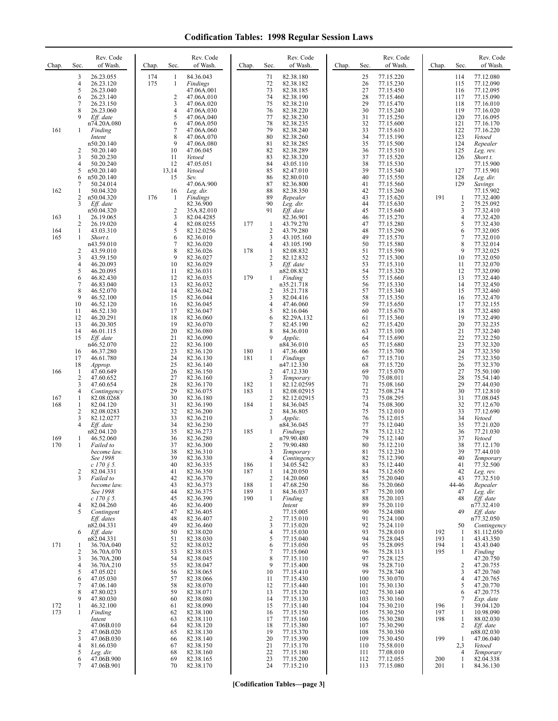| Chap.      | Sec.                    | Rev. Code<br>of Wash.              | Chap. | Sec.                | Rev. Code<br>of Wash.    | Chap.      | Sec.                           | Rev. Code<br>of Wash.    | Chap. | Sec.       | Rev. Code<br>of Wash.  | Chap.      | Sec.                  | Rev. Code<br>of Wash.     |
|------------|-------------------------|------------------------------------|-------|---------------------|--------------------------|------------|--------------------------------|--------------------------|-------|------------|------------------------|------------|-----------------------|---------------------------|
|            | 3                       | 26.23.055                          | 174   | 1                   | 84.36.043                |            | 71                             | 82.38.180                |       | 25         | 77.15.220              |            | 114                   | 77.12.080                 |
|            | 4<br>5                  | 26.23.120<br>26.23.040             | 175   | $\mathbf{1}$        | Findings<br>47.06A.001   |            | 72<br>73                       | 82.38.182<br>82.38.185   |       | 26<br>27   | 77.15.230<br>77.15.450 |            | 115<br>116            | 77.12.090<br>77.12.095    |
|            | 6                       | 26.23.140                          |       | $\overline{2}$      | 47.06A.010               |            | 74                             | 82.38.190                |       | 28         | 77.15.460              |            | 117                   | 77.15.090                 |
|            | 7<br>8                  | 26.23.150<br>26.23.060             |       | 3<br>4              | 47.06A.020<br>47.06A.030 |            | 75<br>76                       | 82.38.210<br>82.38.220   |       | 29<br>30   | 77.15.470<br>77.15.240 |            | 118<br>119            | 77.16.010<br>77.16.020    |
|            | 9                       | Eff. date                          |       | 5                   | 47.06A.040               |            | 77                             | 82.38.230                |       | 31         | 77.15.250              |            | 120                   | 77.16.095                 |
| 161        | 1                       | n74.20A.080<br>Finding             |       | 6<br>7              | 47.06A.050<br>47.06A.060 |            | 78<br>79                       | 82.38.235<br>82.38.240   |       | 32<br>33   | 77.15.600<br>77.15.610 |            | 121<br>122            | 77.16.170<br>77.16.220    |
|            |                         | Intent                             |       | 8                   | 47.06A.070               |            | 80                             | 82.38.260                |       | 34         | 77.15.190              |            | 123                   | Vetoed                    |
|            | 2                       | n50.20.140<br>50.20.140            |       | 9<br>10             | 47.06A.080<br>47.06.045  |            | 81<br>82                       | 82.38.285<br>82.38.289   |       | 35<br>36   | 77.15.500              |            | 124<br>125            | Repealer<br>Leg. rev.     |
|            | 3                       | 50.20.230                          |       | 11                  | Vetoed                   |            | 83                             | 82.38.320                |       | 37         | 77.15.510<br>77.15.520 |            | 126                   | Short t.                  |
|            | 4<br>5                  | 50.20.240<br>n50.20.140            |       | 12<br>13,14         | 47.05.051<br>Vetoed      |            | 84<br>85                       | 43.05.110<br>82.47.010   |       | 38<br>39   | 77.15.530<br>77.15.540 |            | 127                   | 77.15.900<br>77.15.901    |
|            | 6                       | n50.20.140                         |       | 15                  | Sev.                     |            | 86                             | 82.80.010                |       | 40         | 77.15.550              |            | 128                   | Leg. dir.                 |
| 162        | 7<br>1                  | 50.24.014<br>50.04.320             |       | 16                  | 47.06A.900<br>Leg. dir.  |            | 87<br>88                       | 82.36.800<br>82.38.350   |       | 41<br>42   | 77.15.560<br>77.15.260 |            | 129                   | Savings<br>77.15.902      |
|            | 2                       | n50.04.320                         | 176   | -1                  | Findings                 |            | 89                             | Repealer                 |       | 43         | 77.15.620              | 191        | -1                    | 77.32.400                 |
|            | 3                       | Eff. date<br>n50.04.320            |       | 2                   | 82.36.900<br>35A.82.010  |            | 90<br>91                       | Leg. dir.<br>Eff. date   |       | 44<br>45   | 77.15.630<br>77.15.640 |            | 2<br>3                | 75.25.092<br>77.32.410    |
| 163        | 1                       | 26.19.065                          |       | 3                   | 82.04.4285               |            |                                | 82.36.901                |       | 46         | 77.15.270              |            | 4                     | 77.32.420                 |
| 164        | 2<br>$\mathbf{1}$       | 26.19.020<br>43.03.310             |       | $\overline{4}$<br>5 | 82.08.0255<br>82.12.0256 | 177        | $\mathbf{1}$<br>$\sqrt{2}$     | 43.79.270<br>43.79.280   |       | 47<br>48   | 77.15.280<br>77.15.290 |            | 5<br>6                | 77.32.430<br>77.32.005    |
| 165        | $\mathbf{1}$            | Short t.                           |       | 6                   | 82.36.010                |            | 3                              | 43.105.160               |       | 49         | 77.15.570              |            | 7                     | 77.32.010                 |
|            | $\overline{\mathbf{c}}$ | n43.59.010<br>43.59.010            |       | 7<br>8              | 82.36.020<br>82.36.026   | 178        | 4<br>$\mathbf{1}$              | 43.105.190<br>82.08.832  |       | 50<br>51   | 77.15.580<br>77.15.590 |            | 8<br>9                | 77.32.014<br>77.32.025    |
|            | 3                       | 43.59.150                          |       | 9                   | 82.36.027                |            | $\overline{2}$                 | 82.12.832                |       | 52         | 77.15.300              |            | 10                    | 77.32.050                 |
|            | 4<br>5                  | 46.20.093<br>46.20.095             |       | 10<br>11            | 82.36.029<br>82.36.031   |            | 3                              | Eff. date<br>n82.08.832  |       | 53<br>54   | 77.15.310<br>77.15.320 |            | 11<br>12              | 77.32.070<br>77.32.090    |
|            | 6                       | 46.82.430                          |       | 12                  | 82.36.035                | 179        | 1                              | Finding                  |       | 55         | 77.15.660              |            | 13                    | 77.32.440                 |
|            | $\overline{7}$<br>8     | 46.83.040<br>46.52.070             |       | 13<br>14            | 82.36.032<br>82.36.042   |            | 2                              | n35.21.718<br>35.21.718  |       | 56<br>57   | 77.15.330<br>77.15.340 |            | 14<br>15              | 77.32.450<br>77.32.460    |
|            | 9                       | 46.52.100                          |       | 15                  | 82.36.044                |            | 3                              | 82.04.416                |       | 58         | 77.15.350              |            | 16                    | 77.32.470                 |
|            | 10<br>11                | 46.52.120<br>46.52.130             |       | 16<br>17            | 82.36.045<br>82.36.047   |            | 4<br>5                         | 47.46.060<br>82.16.046   |       | 59<br>60   | 77.15.650<br>77.15.670 |            | 17<br>18              | 77.32.155<br>77.32.480    |
|            | 12<br>13                | 46.20.291<br>46.20.305             |       | 18<br>19            | 82.36.060<br>82.36.070   |            | 6<br>7                         | 82.29A.132<br>82.45.190  |       | 61<br>62   | 77.15.360<br>77.15.420 |            | 19<br>20              | 77.32.490<br>77.32.235    |
|            | 14                      | 46.01.115                          |       | 20                  | 82.36.080                |            | 8                              | 84.36.010                |       | 63         | 77.15.100              |            | 21                    | 77.32.240                 |
|            | 15                      | Eff. date<br>n46.52.070            |       | 21<br>22            | 82.36.090<br>82.36.100   |            | 9                              | Applic.<br>n84.36.010    |       | 64<br>65   | 77.15.690<br>77.15.680 |            | 22<br>23              | 77.32.250<br>77.32.320    |
|            | 16                      | 46.37.280                          |       | 23                  | 82.36.120                | 180        | 1                              | 47.36.400                |       | 66         | 77.15.700              |            | 24                    | 77.32.350                 |
|            | 17<br>18                | 46.61.780<br>Approp.               |       | 24<br>25            | 82.36.130<br>82.36.140   | 181        | 1                              | Findings<br>n47.12.330   |       | 67<br>68   | 77.15.710<br>77.15.720 |            | 25<br>26              | 77.32.350<br>77.32.370    |
| 166        | $\mathbf{1}$            | 47.60.649                          |       | 26                  | 82.36.150                |            | $\overline{2}$                 | 47.12.330                |       | 69         | 77.15.070              |            | 27                    | 75.50.100                 |
|            | 2<br>3                  | 47.60.652<br>47.60.654             |       | 27<br>28            | 82.36.160<br>82.36.170   | 182        | 3<br>$\mathbf{1}$              | Temporary<br>82.12.02595 |       | 70<br>71   | 75.08.011<br>75.08.160 |            | 28<br>29              | 75.54.140<br>77.44.030    |
|            | 4                       | Contingency                        |       | 29                  | 82.36.075                | 183        | -1                             | 82.08.02915              |       | 72         | 75.08.274              |            | 30                    | 77.12.810                 |
| 167<br>168 | 1<br>1                  | 82.08.0268<br>82.04.120            |       | 30<br>31            | 82.36.180<br>82.36.190   | 184        | $\overline{c}$<br>$\mathbf{1}$ | 82.12.02915<br>84.36.045 |       | 73<br>74   | 75.08.295<br>75.08.300 |            | 31<br>32              | 77.08.045<br>77.12.670    |
|            | 2<br>3                  | 82.08.0283                         |       | 32<br>33            | 82.36.200                |            | $\overline{c}$<br>3            | 84.36.805                |       | 75<br>76   | 75.12.010              |            | 33<br>34              | 77.12.690                 |
|            | 4                       | 82.12.0277<br>Eff. date            |       | 34                  | 82.36.210<br>82.36.230   |            |                                | Applic.<br>n84.36.045    |       | 77         | 75.12.015<br>75.12.040 |            | 35                    | Vetoed<br>77.21.020       |
| 169        | 1                       | n82.04.120<br>46.52.060            |       | 35<br>36            | 82.36.273<br>82.36.280   | 185        | 1                              | Findings<br>n79.90.480   |       | 78<br>79   | 75.12.132<br>75.12.140 |            | 36<br>37              | 77.21.030<br>Vetoed       |
| 170        | 1                       | Failed to                          |       | 37                  | 82.36.300                |            | 2                              | 79.90.480                |       | 80         | 75.12.210              |            | 38                    | 77.12.170                 |
|            |                         | become law.<br>See 1998            |       | 38<br>39            | 82.36.310<br>82.36.330   |            | 3<br>4                         | Temporary<br>Contingency |       | 81<br>82   | 75.12.230<br>75.12.390 |            | 39<br>40              | 77.44.010<br>Temporary    |
|            |                         | $c 170 \S 5.$                      |       | 40                  | 82.36.335                | 186        | 1                              | 34.05.542                |       | 83         | 75.12.440              |            | 41                    | 77.32.500                 |
|            | 2<br>3                  | 82.04.331<br>Failed to             |       | 41<br>42            | 82.36.350<br>82.36.370   | 187        | -1<br>2                        | 14.20.050<br>14.20.060   |       | 84<br>85   | 75.12.650<br>75.20.040 |            | 42<br>43              | Leg. rev.<br>77.32.510    |
|            |                         | become law.                        |       | 43                  | 82.36.373                | 188        | -1                             | 47.68.250                |       | 86         | 75.20.060              |            | 44-46                 | Repealer                  |
|            |                         | See 1998<br>$c 170 \text{ } \$ 5.$ |       | 44<br>45            | 82.36.375<br>82.36.390   | 189<br>190 | $\mathbf{1}$<br>-1             | 84.36.037<br>Finding     |       | 87<br>88   | 75.20.100<br>75.20.103 |            | 47<br>48              | Leg. dir.<br>Eff. date    |
|            | 4<br>5                  | 82.04.260                          |       | 46                  | 82.36.400<br>82.36.405   |            |                                | Intent                   |       | 89<br>90   | 75.20.110              |            | 49                    | n77.32.410<br>Eff. date   |
|            |                         | Contingent<br>Eff. dates           |       | 47<br>48            | 82.36.407                |            | $\overline{2}$                 | 77.15.005<br>77.15.010   |       | 91         | 75.24.080<br>75.24.100 |            |                       | n77.32.050                |
|            | 6                       | n82.04.331                         |       | 49<br>50            | 82.36.460<br>82.38.020   |            | 3<br>$\overline{4}$            | 77.15.020<br>77.15.030   |       | 92<br>93   | 75.24.110<br>75.28.010 | 192        | 50<br>-1              | Contingency<br>81.112.050 |
|            |                         | Eff. date<br>n82.04.331            |       | 51                  | 82.38.030                |            | 5                              | 77.15.040                |       | 94         | 75.28.045              | 193        | $\mathbf{1}$          | 43.43.350                 |
| 171        | 1<br>2                  | 36.70A.040<br>36.70A.070           |       | 52<br>53            | 82.38.032<br>82.38.035   |            | 6<br>7                         | 77.15.050<br>77.15.060   |       | 95<br>96   | 75.28.095<br>75.28.113 | 194<br>195 | 1<br>1                | 43.43.040<br>Finding      |
|            | 3                       | 36.70A.200                         |       | 54                  | 82.38.045                |            | 8                              | 77.15.110                |       | 97         | 75.28.125              |            |                       | 47.20.750                 |
|            | 4<br>5                  | 36.70A.210<br>47.05.021            |       | 55<br>56            | 82.38.047<br>82.38.065   |            | 9<br>10                        | 77.15.400<br>77.15.410   |       | 98<br>99   | 75.28.710<br>75.28.740 |            | 2<br>3                | 47.20.755<br>47.20.760    |
|            | 6                       | 47.05.030                          |       | 57                  | 82.38.066                |            | 11                             | 77.15.430                |       | 100        | 75.30.070              |            | $\overline{4}$        | 47.20.765                 |
|            | 7<br>8                  | 47.06.140<br>47.80.023             |       | 58<br>59            | 82.38.070<br>82.38.071   |            | 12<br>13                       | 77.15.440<br>77.15.120   |       | 101<br>102 | 75.30.130<br>75.30.140 |            | 5<br>6                | 47.20.770<br>47.20.775    |
|            | 9                       | 47.80.030                          |       | 60                  | 82.38.080                |            | 14                             | 77.15.130                |       | 103        | 75.30.160              |            | 7                     | Exp. date                 |
| 172<br>173 | 1<br>1                  | 46.32.100<br>Finding               |       | 61<br>62            | 82.38.090<br>82.38.100   |            | 15<br>16                       | 77.15.140<br>77.15.150   |       | 104<br>105 | 75.30.210<br>75.30.250 | 196<br>197 | 1<br>1                | 39.04.120<br>10.98.090    |
|            |                         | Intent                             |       | 63                  | 82.38.110                |            | 17                             | 77.15.160                |       | 106        | 75.30.280              | 198        | 1                     | 88.02.030                 |
|            | 2                       | 47.06B.010<br>47.06B.020           |       | 64<br>65            | 82.38.120<br>82.38.130   |            | 18<br>19                       | 77.15.380<br>77.15.370   |       | 107<br>108 | 75.30.290<br>75.30.350 |            | 2                     | Eff. date<br>n88.02.030   |
|            | 3                       | 47.06B.030                         |       | 66                  | 82.38.140                |            | 20                             | 77.15.390                |       | 109        | 75.30.450              | 199        | 1                     | 47.06.040                 |
|            | 4<br>5                  | 81.66.030<br>Leg. dir.             |       | 67<br>68            | 82.38.150<br>82.38.160   |            | 21<br>22                       | 77.15.170<br>77.15.180   |       | 110<br>111 | 75.58.010<br>77.08.010 |            | 2,3<br>$\overline{4}$ | Vetoed<br>Temporary       |
|            | 6<br>7                  | 47.06B.900<br>47.06B.901           |       | 69<br>70            | 82.38.165<br>82.38.170   |            | 23<br>24                       | 77.15.200<br>77.15.210   |       | 112<br>113 | 77.12.055<br>77.15.080 | 200<br>201 | 1<br>1                | 82.04.338<br>84.36.130    |
|            |                         |                                    |       |                     |                          |            |                                |                          |       |            |                        |            |                       |                           |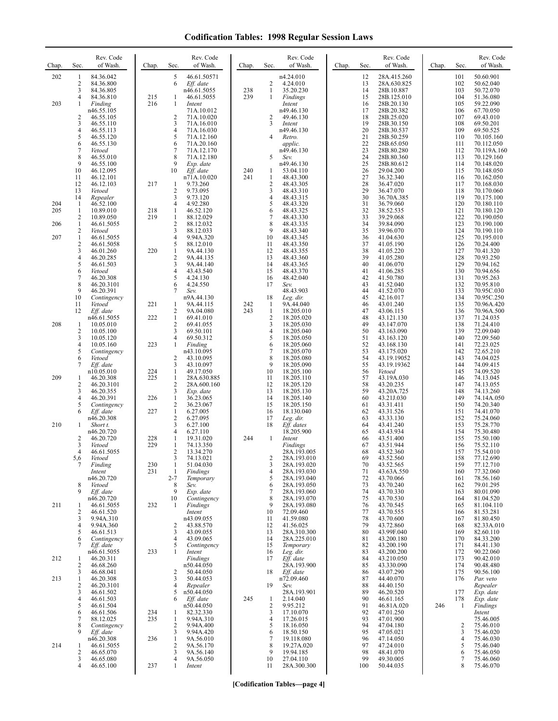| Chap.             | Rev. Code<br>Sec.<br>of Wash.                                                                                                                                                                                | Chap.             | Sec.                                                                 | Rev. Code<br>of Wash.                                                                                                                            | Chap.      | Sec.                                      | Rev. Code<br>of Wash.                                                                                                           | Chap. | Sec.                                                           | Rev. Code<br>of Wash.                                                                                                                                 | Chap. | Sec.                                                                      | Rev. Code<br>of Wash.                                                                                                                              |
|-------------------|--------------------------------------------------------------------------------------------------------------------------------------------------------------------------------------------------------------|-------------------|----------------------------------------------------------------------|--------------------------------------------------------------------------------------------------------------------------------------------------|------------|-------------------------------------------|---------------------------------------------------------------------------------------------------------------------------------|-------|----------------------------------------------------------------|-------------------------------------------------------------------------------------------------------------------------------------------------------|-------|---------------------------------------------------------------------------|----------------------------------------------------------------------------------------------------------------------------------------------------|
| 202               | 84.36.042<br>1<br>2<br>84.36.800<br>3<br>84.36.805<br>4<br>84.36.810                                                                                                                                         | 215               | 5<br>6<br>-1                                                         | 46.61.50571<br>Eff. date<br>n46.61.5055<br>46.61.5055                                                                                            | 238<br>239 | 2<br>1<br>1                               | n4.24.010<br>4.24.010<br>35.20.230<br>Findings                                                                                  |       | 12<br>13<br>14<br>15                                           | 28A.415.260<br>28A.630.825<br>28B.10.887<br>28B.125.010                                                                                               |       | 101<br>102<br>103<br>104                                                  | 50.60.901<br>50.62.040<br>50.72.070<br>51.36.080                                                                                                   |
| 203               | Finding<br>1<br>n46.55.105<br>$\overline{2}$<br>46.55.105<br>3<br>46.55.110<br>4<br>46.55.113<br>5<br>46.55.120<br>46.55.130<br>6<br>$\tau$<br>Vetoed<br>8<br>46.55.010<br>9<br>46.55.100<br>10<br>46.12.095 | 216               | 1<br>$\overline{2}$<br>3<br>4<br>5<br>6<br>7<br>8<br>9<br>10         | Intent<br>71A.10.012<br>71A.10.020<br>71A.16.010<br>71A.16.030<br>71A.12.160<br>71A.20.160<br>71A.12.170<br>71A.12.180<br>Exp. date<br>Eff. date | 240        | $\overline{2}$<br>3<br>4<br>5<br>1        | Intent<br>n49.46.130<br>49.46.130<br>Intent<br>n49.46.130<br>Retro.<br>applic.<br>n49.46.130<br>Sev.<br>n49.46.130<br>53.04.110 |       | 16<br>17<br>18<br>19<br>20<br>21<br>22<br>23<br>24<br>25<br>26 | 28B.20.130<br>28B.20.382<br>28B.25.020<br>28B.30.150<br>28B.30.537<br>28B.50.259<br>28B.65.050<br>28B.80.280<br>28B.80.360<br>28B.80.612<br>29.04.200 |       | 105<br>106<br>107<br>108<br>109<br>110<br>111<br>112<br>113<br>114<br>115 | 59.22.090<br>67.70.050<br>69.43.010<br>69.50.201<br>69.50.525<br>70.105.160<br>70.112.050<br>70.119A.160<br>70.129.160<br>70.148.020<br>70.148.050 |
| 204               | 46.12.101<br>11<br>12<br>46.12.103<br>13<br>Vetoed<br>14<br>Repealer<br>46.52.100<br>1                                                                                                                       | 217               | 1<br>$\overline{2}$<br>3<br>$\overline{4}$                           | n71A.10.020<br>9.73.260<br>9.73.095<br>9.73.120<br>4.92.280                                                                                      | 241        | -1<br>$\overline{c}$<br>3<br>4<br>5       | 48.43.300<br>48.43.305<br>48.43.310<br>48.43.315<br>48.43.320                                                                   |       | 27<br>28<br>29<br>30<br>31                                     | 36.32.340<br>36.47.020<br>36.47.070<br>36.70A.385<br>36.79.060                                                                                        |       | 116<br>117<br>118<br>119<br>120                                           | 70.162.050<br>70.168.030<br>70.170.060<br>70.175.100<br>70.180.110                                                                                 |
| 205<br>206<br>207 | $\mathbf{1}$<br>10.89.010<br>2<br>10.89.050<br>$\mathbf{1}$<br>46.61.5055<br>2<br>Vetoed<br>1<br>46.61.5055                                                                                                  | 218<br>219        | 1<br>1<br>$\sqrt{2}$<br>3<br>$\overline{4}$                          | 46.52.120<br>88.12.029<br>88.12.032<br>88.12.033<br>9.94A.320                                                                                    |            | 6<br>7<br>8<br>9<br>10                    | 48.43.325<br>48.43.330<br>48.43.335<br>48.43.340<br>48.43.345                                                                   |       | 32<br>33<br>34<br>35<br>36                                     | 38.52.535<br>39.29.068<br>39.84.090<br>39.96.070<br>41.04.630                                                                                         |       | 121<br>122<br>123<br>124<br>125                                           | 70.180.120<br>70.190.050<br>70.190.100<br>70.190.110<br>70.195.010                                                                                 |
|                   | 2<br>46.61.5058<br>3<br>46.01.260<br>4<br>46.20.285<br>5<br>46.61.503<br>6<br>Vetoed<br>7<br>46.20.308<br>8<br>46.20.3101                                                                                    | 220               | 5<br>$\mathbf{1}$<br>$\overline{c}$<br>3<br>$\overline{4}$<br>5<br>6 | 88.12.010<br>9A.44.130<br>9A.44.135<br>9A.44.140<br>43.43.540<br>4.24.130<br>4.24.550                                                            |            | 11<br>12<br>13<br>14<br>15<br>16<br>17    | 48.43.350<br>48.43.355<br>48.43.360<br>48.43.365<br>48.43.370<br>48.42.040<br>Sev.                                              |       | 37<br>38<br>39<br>40<br>41<br>42<br>43                         | 41.05.190<br>41.05.220<br>41.05.280<br>41.06.070<br>41.06.285<br>41.50.780<br>41.52.040                                                               |       | 126<br>127<br>128<br>129<br>130<br>131<br>132                             | 70.24.400<br>70.41.320<br>70.93.250<br>70.94.162<br>70.94.656<br>70.95.263<br>70.95.810                                                            |
|                   | 9<br>46.20.391<br>10<br>Contingency<br>11<br>Vetoed<br>Eff. date<br>12<br>n46.61.5055                                                                                                                        | 221<br>222        | 7<br>1<br>$\overline{c}$<br>$\mathbf{1}$                             | Sev.<br>n9A.44.130<br>9A.44.115<br>9A.04.080<br>69.41.010                                                                                        | 242<br>243 | 18<br>1<br>$\mathbf{1}$<br>$\overline{2}$ | 48.43.903<br>Leg. dir.<br>9A.44.040<br>18.205.010<br>18.205.020                                                                 |       | 44<br>45<br>46<br>47<br>48                                     | 41.52.070<br>42.16.017<br>43.01.240<br>43.06.115<br>43.121.130                                                                                        |       | 133<br>134<br>135<br>136<br>137                                           | 70.95C.030<br>70.95C.250<br>70.96A.420<br>70.96A.500<br>71.24.035                                                                                  |
| 208               | 1<br>10.05.010<br>2<br>10.05.100<br>3<br>10.05.120<br>4<br>10.05.160<br>5<br>Contingency                                                                                                                     | 223               | $\overline{2}$<br>3<br>4<br>1                                        | 69.41.055<br>69.50.101<br>69.50.312<br>Finding<br>n43.10.095                                                                                     |            | 3<br>4<br>5<br>6<br>7                     | 18.205.030<br>18.205.040<br>18.205.050<br>18.205.060<br>18.205.070                                                              |       | 49<br>50<br>51<br>52<br>53                                     | 43.147.070<br>43.163.090<br>43.163.120<br>43.168.130<br>43.175.020                                                                                    |       | 138<br>139<br>140<br>141<br>142                                           | 71.24.410<br>72.09.040<br>72.09.560<br>72.23.025<br>72.65.210                                                                                      |
| 209               | 6<br>Vetoed<br>7<br>Eff. date<br>n10.05.010<br>1<br>46.20.308<br>2<br>46.20.3101<br>3<br>46.20.355                                                                                                           | 224<br>225        | 2<br>3<br>1<br>1<br>$\overline{2}$<br>3                              | 43.10.095<br>43.10.097<br>49.17.050<br>28A.630.885<br>28A.600.160<br>Exp. date                                                                   |            | 8<br>9<br>10<br>11<br>12<br>13            | 18.205.080<br>18.205.090<br>18.205.100<br>18.205.110<br>18.205.120<br>18.205.130                                                |       | 54<br>55<br>56<br>57<br>58<br>59                               | 43.19.19052<br>43.19.19362<br>Vetoed<br>43.19A.030<br>43.20.235<br>43.20A.725                                                                         |       | 143<br>144<br>145<br>146<br>147<br>148                                    | 74.04.025<br>74.09.415<br>74.09.520<br>74.13.045<br>74.13.055<br>74.13.260                                                                         |
| 210               | 4<br>46.20.391<br>5<br>Contingency<br>6<br>Eff. date<br>n46.20.308<br>1<br>Short t.<br>n46.20.720                                                                                                            | 226<br>227        | 1<br>$\overline{2}$<br>1<br>$\overline{c}$<br>3<br>4                 | 36.23.065<br>36.23.067<br>6.27.005<br>6.27.095<br>6.27.100<br>6.27.110                                                                           |            | 14<br>15<br>16<br>17<br>18                | 18.205.140<br>18.205.150<br>18.130.040<br>Leg. dir.<br>Eff. dates<br>18.205.900                                                 |       | 60<br>61<br>62<br>63<br>64<br>65                               | 43.21J.030<br>43.31.411<br>43.31.526<br>43.33.130<br>43.41.240<br>43.43.934                                                                           |       | 149<br>150<br>151<br>152<br>153<br>154                                    | 74.14A.050<br>74.20.340<br>74.41.070<br>75.24.060<br>75.28.770<br>75.30.480                                                                        |
|                   | 2<br>46.20.720<br>3<br>Vetoed<br>4<br>46.61.5055<br>5,6<br>Vetoed<br>7<br>Finding                                                                                                                            | 228<br>229<br>230 | 1<br>1<br>2<br>3<br>$\mathbf{1}$                                     | 19.31.020<br>74.13.350<br>13.34.270<br>74.13.021<br>51.04.030                                                                                    | 244        | 1<br>2<br>3                               | Intent<br>Findings<br>28A.193.005<br>28A.193.010<br>28A.193.020                                                                 |       | 66<br>67<br>68<br>69<br>70                                     | 43.51.400<br>43.51.944<br>43.52.360<br>43.52.560<br>43.52.565                                                                                         |       | 155<br>156<br>157<br>158<br>159                                           | 75.50.100<br>75.52.110<br>75.54.010<br>77.12.690<br>77.12.710                                                                                      |
| 211               | Intent<br>n46.20.720<br>8<br>Vetoed<br>Eff. date<br>9<br>n46.20.720<br>46.61.5055<br>1                                                                                                                       | 231<br>232        | 1<br>$2 - 7$<br>8<br>9<br>10<br>1                                    | Findings<br>Temporary<br>Sev.<br>Exp. date<br>Contingency<br><b>Findings</b>                                                                     |            | 4<br>5<br>6<br>7<br>$\,$ 8 $\,$<br>9      | 28A.193.030<br>28A.193.040<br>28A.193.050<br>28A.193.060<br>28A.193.070<br>28A.193.080                                          |       | 71<br>72<br>73<br>74<br>75<br>76                               | 43.63A.550<br>43.70.066<br>43.70.240<br>43.70.330<br>43.70.530<br>43.70.545                                                                           |       | 160<br>161<br>162<br>163<br>164<br>165                                    | 77.32.060<br>78.56.160<br>79.01.295<br>80.01.090<br>81.04.520<br>81.104.110                                                                        |
|                   | 2<br>46.61.520<br>9.94A.310<br>3<br>4<br>9.94A.360<br>5<br>46.61.513<br>6<br>Contingency<br>7<br>Eff. date                                                                                                   |                   | 2<br>3<br>$\overline{4}$<br>5                                        | Intent<br>n43.09.055<br>43.88.570<br>43.09.055<br>43.09.065<br>Contingency                                                                       |            | 10<br>11<br>12<br>13<br>14<br>15          | 72.09.460<br>41.59.080<br>41.56.025<br>28A.310.300<br>28A.225.010<br>Temporary                                                  |       | 77<br>78<br>79<br>80<br>81<br>82                               | 43.70.555<br>43.70.600<br>43.72.860<br>43.99F.040<br>43.200.180<br>43.200.190                                                                         |       | 166<br>167<br>168<br>169<br>170<br>171                                    | 81.53.281<br>81.80.450<br>82.33A.010<br>82.60.110<br>84.33.200<br>84.41.130                                                                        |
| 212<br>213        | n46.61.5055<br>46.20.311<br>1<br>2<br>46.68.260<br>3<br>46.68.041<br>46.20.308<br>1<br>2<br>46.20.3101                                                                                                       | 233               | 1<br>2<br>3<br>$\overline{4}$                                        | Intent<br>Findings<br>$n50.44.\overline{0}50$<br>50.44.050<br>50.44.053<br>Repealer                                                              |            | 16<br>17<br>18<br>19                      | Leg. dir.<br>Eff. date<br>28A.193.900<br>Eff. date<br>n72.09.460<br>Sev.                                                        |       | 83<br>84<br>85<br>86<br>87<br>88                               | 43.200.200<br>43.210.050<br>43.330.090<br>43.07.290<br>44.40.070<br>44.40.150                                                                         |       | 172<br>173<br>174<br>175<br>176                                           | 90.22.060<br>90.42.010<br>90.48.480<br>90.56.100<br>Par. veto<br>Repealer                                                                          |
|                   | 46.61.502<br>3<br>4<br>46.61.503<br>46.61.504<br>5<br>6<br>46.61.506<br>7<br>88.12.025<br>8<br>Contingency                                                                                                   | 234<br>235        | 5<br>6<br>1<br>$\overline{2}$                                        | n50.44.050<br>Eff. date<br>n50.44.050<br>82.32.330<br>9.94A.310<br>9.94A.400                                                                     | 245        | -1<br>$\overline{2}$<br>3<br>4<br>5       | 28A.193.901<br>2.14.040<br>9.95.212<br>17.10.070<br>17.26.015<br>18.16.050                                                      |       | 89<br>90<br>91<br>92<br>93<br>94                               | 46.20.520<br>46.61.165<br>46.81A.020<br>47.01.250<br>47.01.900<br>47.04.180                                                                           | 246   | 177<br>178<br>1<br>2                                                      | Exp. date<br>Exp. date<br>Findings<br>Intent<br>75.46.005<br>75.46.010                                                                             |
| 214               | 9<br>Eff. date<br>n46.20.308<br>46.61.5055<br>1<br>2<br>46.65.070<br>3<br>46.65.080                                                                                                                          | 236               | 3<br>1<br>$\overline{2}$<br>3<br>$\overline{4}$                      | 9.94A.420<br>9A.56.010<br>9A.56.170<br>9A.56.140<br>9A.56.050                                                                                    |            | 6<br>7<br>8<br>9<br>10                    | 18.50.150<br>19.118.080<br>19.27A.020<br>19.94.185<br>27.04.110                                                                 |       | 95<br>96<br>97<br>98<br>99                                     | 47.05.021<br>47.14.050<br>47.24.010<br>48.41.070<br>49.30.005                                                                                         |       | 3<br>4<br>5<br>6<br>7                                                     | 75.46.020<br>75.46.030<br>75.46.040<br>75.46.050<br>75.46.060                                                                                      |
|                   | 4<br>46.65.100                                                                                                                                                                                               | 237               | $\mathbf{1}$                                                         | Intent                                                                                                                                           |            | 11                                        | 28A.300.300                                                                                                                     |       | 100                                                            | 50.44.035                                                                                                                                             |       | 8                                                                         | 75.46.070                                                                                                                                          |

**[Codification Tables—page 4]**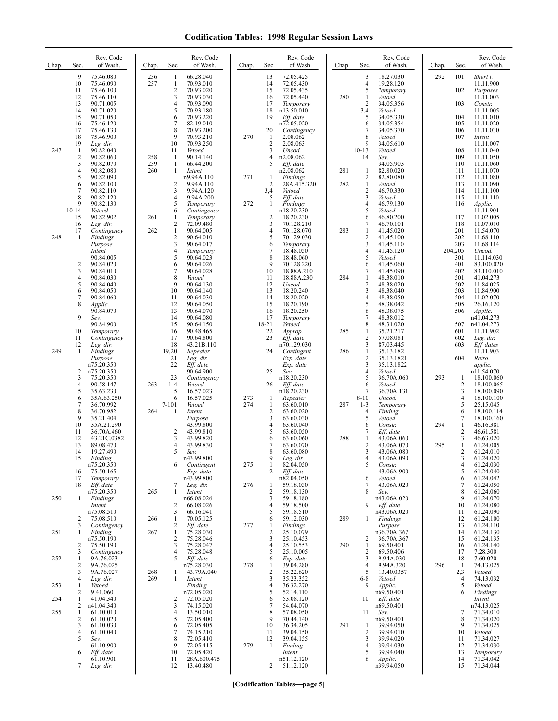| Chap. | Sec.                         | Rev. Code<br>of Wash.                            | Chap.      | Sec.                                     | Rev. Code<br>of Wash.                            | Chap.      | Sec.                     | Rev. Code<br>of Wash.                            | Chap. | Sec.                                     | Rev. Code<br>of Wash.                         | Chap. | Sec.              | Rev. Code<br>of Wash.                          |
|-------|------------------------------|--------------------------------------------------|------------|------------------------------------------|--------------------------------------------------|------------|--------------------------|--------------------------------------------------|-------|------------------------------------------|-----------------------------------------------|-------|-------------------|------------------------------------------------|
|       | 9<br>10<br>11<br>12          | 75.46.080<br>75.46.090<br>75.46.100<br>75.46.110 | 256<br>257 | 1<br>$\mathbf{1}$<br>$\overline{2}$<br>3 | 66.28.040<br>70.93.010<br>70.93.020<br>70.93.030 |            | 13<br>14<br>15<br>16     | 72.05.425<br>72.05.430<br>72.05.435<br>72.05.440 | 280   | 3<br>$\overline{4}$<br>5<br>$\mathbf{1}$ | 18.27.030<br>19.28.120<br>Temporary<br>Vetoed | 292   | 101<br>102        | Short t.<br>11.11.900<br>Purposes<br>11.11.003 |
|       | 13<br>14<br>15               | 90.71.005<br>90.71.020<br>90.71.050              |            | $\overline{4}$<br>5<br>6                 | 70.93.090<br>70.93.180<br>70.93.220              |            | 17<br>18<br>19           | Temporary<br>n13.50.010<br>Eff. date             |       | $\overline{2}$<br>3,4<br>5               | 34.05.356<br>Vetoed<br>34.05.330              |       | 103<br>104        | Constr.<br>11.11.005<br>11.11.010              |
|       | 16<br>17<br>18               | 75.46.120<br>75.46.130<br>75.46.900              |            | 7<br>8<br>9                              | 82.19.010<br>70.93.200<br>70.93.210              | 270        | 20<br>$\mathbf{1}$       | n72.05.020<br>Contingency<br>2.08.062            |       | 6<br>$\overline{7}$<br>8                 | 34.05.354<br>34.05.370<br>Vetoed              |       | 105<br>106<br>107 | 11.11.020<br>11.11.030<br>Intent               |
| 247   | 19<br>1<br>2                 | Leg. dir.<br>90.82.040<br>90.82.060              | 258        | 10<br>11<br>-1                           | 70.93.250<br>Vetoed<br>90.14.140                 |            | $\overline{2}$<br>3<br>4 | 2.08.063<br>Uncod.<br>n2.08.062                  |       | 9<br>$10 - 13$<br>14                     | 34.05.610<br>Vetoed<br>Sev.                   |       | 108<br>109        | 11.11.007<br>11.11.040<br>11.11.050            |
|       | 3<br>4                       | 90.82.070<br>90.82.080                           | 259<br>260 | $\mathbf{1}$<br>$\mathbf{1}$             | 66.44.200<br>Intent                              |            | 5                        | Eff. date<br>n2.08.062                           | 281   | $\mathbf{1}$                             | 34.05.903<br>82.80.020                        |       | 110<br>111        | 11.11.060<br>11.11.070                         |
|       | 5<br>6                       | 90.82.090<br>90.82.100                           |            | $\overline{c}$                           | n9.94A.110<br>9.94A.110                          | 271        | 1<br>$\overline{2}$      | <b>Findings</b><br>28A.415.320                   | 282   | $\overline{2}$<br>$\mathbf{1}$           | 82.80.080<br>Vetoed                           |       | 112<br>113        | 11.11.080<br>11.11.090                         |
|       | $\overline{7}$<br>8          | 90.82.110<br>90.82.120                           |            | 3<br>$\overline{4}$                      | 9.94A.120<br>9.94A.200                           |            | 3,4<br>5                 | Vetoed<br>Eff. date                              |       | $\sqrt{2}$<br>$\mathfrak{Z}$             | 46.70.330<br>Vetoed                           |       | 114<br>115        | 11.11.100<br>11.11.110                         |
|       | 9<br>$10-14$                 | 90.82.130<br>Vetoed                              |            | 5<br>6                                   | Temporary<br>Contingency                         | 272        | 1                        | Findings<br>n18.20.230                           |       | $\overline{4}$<br>5                      | 46.79.130<br>Vetoed                           |       | 116               | Applic.<br>11.11.901                           |
|       | 15<br>16                     | 90.82.902<br>Leg. dir.                           | 261        | 1<br>$\overline{2}$                      | Temporary<br>72.09.480                           |            | $\overline{2}$<br>3      | 18.20.230<br>70.128.210                          |       | 6<br>$\tau$                              | 46.80.200<br>46.70.101                        |       | 117<br>118        | 11.02.005<br>11.07.010                         |
| 248   | 17<br>1                      | Contingency                                      | 262        | $\mathbf{1}$<br>$\overline{c}$           | 90.64.005<br>90.64.010                           |            | $\overline{4}$<br>5      | 70.128.070<br>70.129.030                         | 283   | $\mathbf{1}$<br>$\overline{2}$           | 41.45.020<br>41.45.100                        |       | 201<br>202        | 11.54.070<br>11.68.110                         |
|       |                              | Findings<br>Purpose                              |            | 3<br>$\overline{4}$                      | 90.64.017                                        |            | 6<br>7                   | Temporary                                        |       | 3<br>$\overline{4}$                      | 41.45.110                                     |       | 203               | 11.68.114                                      |
|       |                              | Intent<br>90.84.005                              |            | 5                                        | Temporary<br>90.64.023                           |            | 8<br>9                   | 18.48.050<br>18.48.060                           |       | 5                                        | 41.45.120<br>Vetoed                           |       | 204,205<br>301    | Uncod.<br>11.114.030                           |
|       | $\overline{\mathbf{c}}$<br>3 | 90.84.020<br>90.84.010                           |            | 6<br>$\overline{7}$                      | 90.64.026<br>90.64.028                           |            | 10                       | 70.128.220<br>18.88A.210                         |       | 6<br>7                                   | 41.45.060<br>41.45.090                        |       | 401<br>402        | 83.100.020<br>83.110.010                       |
|       | 4<br>5                       | 90.84.030<br>90.84.040                           |            | 8<br>9                                   | Vetoed<br>90.64.130                              |            | 11<br>12                 | 18.88A.230<br>Uncod.                             | 284   | 1<br>$\overline{2}$                      | 48.38.010<br>48.38.020                        |       | 501<br>502        | 41.04.273<br>11.84.025                         |
|       | 6<br>7                       | 90.84.050<br>90.84.060                           |            | 10<br>11                                 | 90.64.140<br>90.64.030                           |            | 13<br>14                 | 18.20.240<br>18.20.020                           |       | 3<br>$\overline{4}$                      | 48.38.040<br>48.38.050                        |       | 503<br>504        | 11.84.900<br>11.02.070                         |
|       | 8                            | Applic.<br>90.84.070                             |            | 12<br>13                                 | 90.64.050<br>90.64.070                           |            | 15<br>16                 | 18.20.190<br>18.20.250                           |       | 5<br>6                                   | 48.38.042<br>48.38.075                        |       | 505<br>506        | 26.16.120<br>Applic.                           |
|       | 9                            | Sev.<br>90.84.900                                |            | 14<br>15                                 | 90.64.080<br>90.64.150                           |            | 17<br>18-21              | Temporary<br>Vetoed                              |       | 7<br>8                                   | 48.38.012<br>48.31.020                        |       | 507               | n41.04.273<br>n41.04.273                       |
|       | 10<br>11                     | Temporary<br>Contingency                         |            | 16<br>17                                 | 90.48.465<br>90.64.800                           |            | 22<br>23                 | Approp.<br>Eff. date                             | 285   | 1<br>$\sqrt{2}$                          | 35.21.217<br>57.08.081                        |       | 601<br>602        | 11.11.902<br>Leg. dir.                         |
| 249   | 12<br>$\mathbf{1}$           | Leg. dir.<br>Findings                            |            | 18<br>19,20                              | 43.21B.110<br>Repealer                           |            | 24                       | n70.129.030<br>Contingent                        | 286   | $\mathfrak{Z}$<br>$\mathbf{1}$           | 87.03.445<br>35.13.182                        |       | 603               | Eff. dates<br>11.11.903                        |
|       |                              | Purpose<br>n75.20.350                            |            | 21<br>22                                 | Leg. dir.<br>Eff. date                           |            |                          | Exp. date<br>Exp. date                           |       | $\overline{2}$<br>3                      | 35.13.1821<br>35.13.1822                      |       | 604               | Retro.<br>applic.                              |
|       | 2<br>3                       | n75.20.350<br>75.20.350                          |            | 23                                       | 90.64.900<br>Contingency                         |            | 25                       | Sev.<br>n18.20.230                               |       | $\overline{4}$<br>5                      | Vetoed<br>36.70A.060                          | 293   | 1                 | n11.54.070<br>18.100.060                       |
|       | 4<br>5                       | 90.58.147<br>35.63.230                           | 263        | $1-4$<br>5                               | Vetoed<br>16.57.023                              |            | 26                       | Eff. date<br>n18.20.230                          |       | 6<br>7                                   | Vetoed<br>36.70A.131                          |       | 2<br>3            | 18.100.065<br>18.100.090                       |
|       | 6<br>$\overline{7}$          | 35A.63.250<br>36.70.992                          |            | 6<br>$7 - 101$                           | 16.57.025<br>Vetoed                              | 273<br>274 | -1<br>1                  | Repealer<br>63.60.010                            | 287   | $8 - 10$<br>$1 - 3$                      | Uncod.<br>Temporary                           |       | 4<br>5            | 18.100.100<br>25.15.045                        |
|       | 8<br>9                       | 36.70.982<br>35.21.404                           | 264        | $\mathbf{1}$                             | Intent<br>Purpose                                |            | $\overline{2}$<br>3      | 63.60.020<br>63.60.030                           |       | $\overline{4}$<br>5                      | Finding<br>Vetoed                             |       | 6<br>7            | 18.100.114<br>18.100.160                       |
|       | 10<br>11                     | 35A.21.290<br>36.70A.460                         |            | $\overline{c}$                           | 43.99.800<br>43.99.810                           |            | 4<br>5                   | 63.60.040<br>63.60.050                           |       | 6<br>7                                   | Constr.<br>Eff. date                          | 294   | $\mathbf{1}$<br>2 | 46.16.381<br>46.61.581                         |
|       | 12<br>13                     | 43.21C.0382<br>89.08.470                         |            | 3<br>4                                   | 43.99.820<br>43.99.830                           |            | 6<br>7                   | 63.60.060<br>63.60.070                           | 288   | $\mathbf{1}$<br>$\overline{2}$           | 43.06A.060<br>43.06A.070                      | 295   | 3<br>$\mathbf{1}$ | 46.63.020<br>61.24.005                         |
|       | 14<br>15                     | 19.27.490<br>Finding                             |            | 5                                        | Sev.<br>n43.99.800                               |            | 8<br>9                   | 63.60.080<br>Leg. dir.                           |       | 3<br>4                                   | 43.06A.080<br>43.06A.090                      |       | 2<br>3            | 61.24.010<br>61.24.020                         |
|       | 16                           | n75.20.350<br>75.50.165                          |            | 6                                        | Contingent<br>Exp. date                          | 275        | 1<br>2                   | 82.04.050<br>Eff. date                           |       | 5                                        | Constr.<br>43.06A.900                         |       | 4<br>5            | 61.24.030<br>61.24.040                         |
|       | 17<br>18                     | Temporary<br>Eff. date                           |            | 7                                        | n43.99.800<br>Leg. dir.                          | 276        | 1                        | n82.04.050<br>59.18.030                          |       | 6<br>7                                   | Vetoed<br>43.06A.020                          |       | 6<br>7            | 61.24.042<br>61.24.050                         |
| 250   | $\mathbf{1}$                 | n75.20.350<br>Findings                           | 265        | 1                                        | Intent<br>n66.08.026                             |            | $\overline{2}$<br>3      | 59.18.130<br>59.18.180                           |       | 8                                        | Sev.<br>n43.06A.020                           |       | 8<br>9            | 61.24.060<br>61.24.070                         |
|       |                              | Intent<br>n75.08.510                             |            | 2<br>3                                   | 66.08.026<br>66.16.041                           |            | $\overline{4}$<br>5      | 59.18.500<br>59.18.510                           |       | 9                                        | Eff. date<br>n43.06A.020                      |       | 10<br>11          | 61.24.080<br>61.24.090                         |
|       | 2<br>3                       | 75.08.510<br>Contingency                         | 266        | $\mathbf{1}$<br>2                        | 70.05.125<br>Eff. date                           | 277        | 6<br>1                   | 59.12.030<br>Findings                            | 289   | -1                                       | Findings<br>Purpose                           |       | 12<br>13          | 61.24.100<br>61.24.110                         |
| 251   | 1                            | Finding<br>n75.50.190                            | 267        | $\mathbf{1}$<br>$\overline{c}$           | 75.28.030<br>75.28.046                           |            | $\overline{2}$<br>3      | 25.10.079<br>25.10.453                           |       | 2                                        | n36.70A.367<br>36.70A.367                     |       | 14<br>15          | 61.24.130<br>61.24.135                         |
|       | $\overline{c}$<br>3          | 75.50.190<br>Contingency                         |            | 3<br>$\overline{4}$                      | 75.28.047<br>75.28.048                           |            | 4<br>5                   | 25.10.553<br>25.10.005                           | 290   | 1<br>$\overline{2}$                      | 69.50.401<br>69.50.406                        |       | 16<br>17          | 61.24.140<br>7.28.300                          |
| 252   | 1<br>2                       | 9A.76.023<br>9A.76.025                           |            | 5                                        | Eff. date<br>n75.28.030                          | 278        | 6<br>1                   | Exp. date<br>39.04.280                           |       | 3<br>$\overline{4}$                      | 9.94A.030<br>9.94A.320                        | 296   | 18<br>-1          | 7.60.020<br>74.13.025                          |
|       | 3                            | 9A.76.027                                        | 268        | 1                                        | 43.79A.040                                       |            | $\overline{2}$           | 35.22.620                                        |       | 5                                        | 13.40.0357                                    |       | 2,3               | Vetoed                                         |
| 253   | 4<br>1                       | Leg. dir.<br>Vetoed                              | 269        | 1                                        | Intent<br>Finding                                |            | 3<br>4                   | 35.23.352<br>36.32.270                           |       | $6 - 8$<br>9                             | Vetoed<br>Applic.                             |       | 4<br>5            | 74.13.032<br>Vetoed                            |
| 254   | 2<br>1                       | 9.41.060<br>41.04.340                            |            | 2                                        | n72.05.020<br>72.05.020                          |            | 5<br>6                   | 52.14.110<br>53.08.120                           |       | 10                                       | n69.50.401<br>Eff. date                       |       | 6                 | Findings<br>Intent                             |
| 255   | 2<br>1                       | n41.04.340<br>61.10.010                          |            | 3<br>$\overline{4}$                      | 74.15.020<br>13.50.010                           |            | 7<br>8                   | 54.04.070<br>57.08.050                           |       | 11                                       | n69.50.401<br>Sev.                            |       | 7                 | n74.13.025<br>71.34.010                        |
|       | $\overline{\mathbf{c}}$<br>3 | 61.10.020<br>61.10.030                           |            | 5<br>6                                   | 72.05.400<br>72.05.405                           |            | 9<br>10                  | 70.44.140<br>36.34.205                           | 291   | -1                                       | n69.50.401<br>39.94.050                       |       | 8<br>9            | 71.34.020<br>71.34.025                         |
|       | 4<br>5                       | 61.10.040<br>Sev.                                |            | 7<br>8                                   | 74.15.210<br>72.05.410                           |            | 11<br>12                 | 39.04.150<br>39.04.155                           |       | 2<br>3                                   | 39.94.010<br>39.94.020                        |       | 10<br>11          | Vetoed<br>71.34.027                            |
|       | 6                            | 61.10.900<br>Eff. date                           |            | 9<br>10                                  | 72.05.415<br>72.05.420                           | 279        | 1                        | Finding<br>Intent                                |       | $\overline{4}$<br>5                      | 39.94.030<br>39.94.040                        |       | 12<br>13          | 71.34.030<br>Temporary                         |
|       | 7                            | 61.10.901<br>Leg. dir.                           |            | 11<br>12                                 | 28A.600.475<br>13.40.480                         |            | 2                        | n51.12.120<br>51.12.120                          |       | 6                                        | Applic.<br>n39.94.050                         |       | 14<br>15          | 71.34.042<br>71.34.044                         |
|       |                              |                                                  |            |                                          |                                                  |            |                          |                                                  |       |                                          |                                               |       |                   |                                                |

**[Codification Tables—page 5]**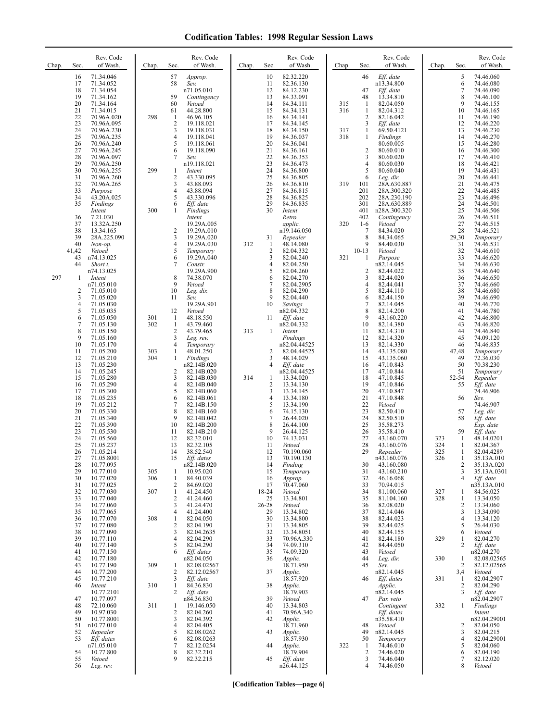| Chap. | Sec.                                         | Rev. Code<br>of Wash.                                                                                | Chap.      | Sec.                                                  | Rev. Code<br>of Wash.                                                                                      | Chap. | Sec.                                      | Rev. Code<br>of Wash.                                                                                     | Chap.      | Sec.                                               | Rev. Code<br>of Wash.                                                                                  | Chap.             | Sec.                                                   | Rev. Code<br>of Wash.                                                                          |
|-------|----------------------------------------------|------------------------------------------------------------------------------------------------------|------------|-------------------------------------------------------|------------------------------------------------------------------------------------------------------------|-------|-------------------------------------------|-----------------------------------------------------------------------------------------------------------|------------|----------------------------------------------------|--------------------------------------------------------------------------------------------------------|-------------------|--------------------------------------------------------|------------------------------------------------------------------------------------------------|
|       | 16<br>17<br>18<br>19<br>20<br>21             | 71.34.046<br>71.34.052<br>71.34.054<br>71.34.162<br>71.34.164<br>71.34.015                           |            | 57<br>58<br>59<br>60<br>61                            | Approp.<br>Sev.<br>n71.05.010<br>Contingency<br>Vetoed<br>44.28.800                                        |       | 10<br>11<br>12<br>13<br>14<br>15          | 82.32.220<br>82.36.130<br>84.12.230<br>84.33.091<br>84.34.111<br>84.34.131                                | 315<br>316 | 46<br>47<br>48<br>$\mathbf{1}$<br>1                | Eff. date<br>n13.34.800<br>Eff. date<br>13.34.810<br>82.04.050<br>82.04.312                            |                   | 5<br>6<br>7<br>8<br>9<br>10                            | 74.46.060<br>74.46.080<br>74.46.090<br>74.46.100<br>74.46.155<br>74.46.165                     |
|       | 22<br>23<br>24<br>25<br>26<br>27             | 70.96A.020<br>70.96A.095<br>70.96A.230<br>70.96A.235<br>70.96A.240<br>70.96A.245                     | 298        | -1<br>$\overline{2}$<br>3<br>4<br>5<br>6<br>7         | 46.96.105<br>19.118.021<br>19.118.031<br>19.118.041<br>19.118.061<br>19.118.090                            |       | 16<br>17<br>18<br>19<br>20<br>21          | 84.34.141<br>84.34.145<br>84.34.150<br>84.36.037<br>84.36.041<br>84.36.161                                | 317<br>318 | $\overline{c}$<br>3<br>1<br>1<br>$\overline{c}$    | 82.16.042<br>$Eff.$ date<br>69.50.4121<br>Findings<br>80.60.005<br>80.60.010                           |                   | 11<br>12<br>13<br>14<br>15<br>16                       | 74.46.190<br>74.46.220<br>74.46.230<br>74.46.270<br>74.46.280<br>74.46.300                     |
|       | 28<br>29<br>30<br>31<br>32<br>33             | 70.96A.097<br>70.96A.250<br>70.96A.255<br>70.96A.260<br>70.96A.265<br>Purpose                        | 299        | 1<br>$\sqrt{2}$<br>3<br>4                             | Sev.<br>n19.118.021<br>Intent<br>43.330.095<br>43.88.093<br>43.88.094                                      |       | 22<br>23<br>24<br>25<br>26<br>27          | 84.36.353<br>84.36.473<br>84.36.800<br>84.36.805<br>84.36.810<br>84.36.815                                | 319        | 3<br>4<br>5<br>6<br>101<br>201                     | 80.60.020<br>80.60.030<br>80.60.040<br>Leg. dir.<br>28A.630.887<br>28A.300.320                         |                   | 17<br>18<br>19<br>20<br>21<br>22                       | 74.46.410<br>74.46.421<br>74.46.431<br>74.46.441<br>74.46.475<br>74.46.485                     |
|       | 34<br>35<br>36<br>37                         | 43.20A.025<br>Findings<br>Intent<br>7.21.030<br>13.32A.250                                           | 300        | 5<br>6<br>1                                           | 43.330.096<br>Eff. date<br>Findings<br>Intent<br>19.29A.005                                                |       | 28<br>29<br>30                            | 84.36.825<br>84.36.835<br>Intent<br>Retro.<br>applic.                                                     | 320        | 202<br>301<br>401<br>402<br>$1-6$                  | 28A.230.190<br>28A.630.889<br>n28A.300.320<br>Contingency<br>Vetoed                                    |                   | 23<br>24<br>25<br>26<br>27                             | 74.46.496<br>74.46.501<br>74.46.506<br>74.46.511<br>74.46.515                                  |
|       | 38<br>39<br>40<br>41,42<br>43<br>44          | 13.34.165<br>28A.225.090<br>Non-op.<br>Vetoed<br>n74.13.025<br>Short t.<br>n74.13.025                |            | 2<br>3<br>4<br>5<br>6<br>7                            | 19.29A.010<br>19.29A.020<br>19.29A.030<br>Temporary<br>19.29A.040<br>Constr.<br>19.29A.900                 | 312   | 31<br>-1<br>$\overline{c}$<br>3<br>4<br>5 | n19.146.050<br>Repealer<br>48.14.080<br>82.04.332<br>82.04.240<br>82.04.250<br>82.04.260                  | 321        | 7<br>8<br>9<br>$10-13$<br>-1<br>2                  | 84.34.020<br>84.34.065<br>84.40.030<br>Vetoed<br>Purpose<br>n82.14.045<br>82.44.022                    |                   | 28<br>29,30<br>31<br>32<br>33<br>34<br>35              | 74.46.521<br>Temporary<br>74.46.531<br>74.46.610<br>74.46.620<br>74.46.630<br>74.46.640        |
| 297   | 1<br>2<br>3<br>4<br>5                        | Intent<br>n71.05.010<br>71.05.010<br>71.05.020<br>71.05.030<br>71.05.035                             |            | 8<br>9<br>10<br>11<br>12                              | 74.38.070<br>Vetoed<br>Leg. dir.<br>Sev.<br>19.29A.901<br>Vetoed                                           |       | 6<br>7<br>8<br>9<br>10                    | 82.04.270<br>82.04.2905<br>82.04.290<br>82.04.440<br>Savings<br>n82.04.332                                |            | 3<br>4<br>5<br>6<br>7<br>8                         | 82.44.020<br>82.44.041<br>82.44.110<br>82.44.150<br>82.14.045<br>82.14.200                             |                   | 36<br>37<br>38<br>39<br>40<br>41                       | 74.46.650<br>74.46.660<br>74.46.680<br>74.46.690<br>74.46.770<br>74.46.780                     |
|       | 6<br>$\tau$<br>8<br>9<br>10                  | 71.05.050<br>71.05.130<br>71.05.150<br>71.05.160<br>71.05.170                                        | 301<br>302 | -1<br>1<br>$\overline{2}$<br>3<br>$\overline{4}$      | 48.18.550<br>43.79.460<br>43.79.465<br>Leg. rev.<br>Temporary                                              | 313   | 11<br>1<br>2                              | Eff. date<br>n82.04.332<br>Intent<br>Findings<br>n82.04.44525                                             |            | 9<br>10<br>11<br>12<br>13                          | 43.160.220<br>82.14.380<br>82.14.310<br>82.14.320<br>82.14.330                                         |                   | 42<br>43<br>44<br>45<br>46                             | 74.46.800<br>74.46.820<br>74.46.840<br>74.09.120<br>74.46.835                                  |
|       | 11<br>12<br>13<br>14<br>15<br>16<br>17<br>18 | 71.05.200<br>71.05.210<br>71.05.230<br>71.05.245<br>71.05.280<br>71.05.290<br>71.05.300<br>71.05.235 | 303<br>304 | $\mathbf{1}$<br>$\mathbf{1}$<br>2<br>3<br>4<br>5<br>6 | 48.01.250<br>Findings<br>n82.14B.020<br>82.14B.020<br>82.14B.030<br>82.14B.040<br>82.14B.060<br>82.14B.061 | 314   | 3<br>1<br>2<br>3<br>4                     | 82.04.44525<br>48.14.029<br>Eff. date<br>n82.04.44525<br>13.34.020<br>13.34.130<br>13.34.145<br>13.34.180 |            | 14<br>15<br>16<br>17<br>18<br>19<br>20<br>21       | 43.135.080<br>43.135.060<br>47.10.843<br>47.10.844<br>47.10.845<br>47.10.846<br>47.10.847<br>47.10.848 |                   | 47,48<br>49<br>50<br>51<br>52-54<br>55<br>56           | Temporary<br>72.36.030<br>70.38.230<br>Temporary<br>Repealer<br>Eff. date<br>74.46.906<br>Sev. |
|       | 19<br>20<br>21<br>22<br>23<br>24<br>25<br>26 | 71.05.212<br>71.05.330<br>71.05.340<br>71.05.390<br>71.05.530<br>71.05.560<br>71.05.237              |            | 7<br>8<br>9<br>10<br>11<br>12<br>13<br>14             | 82.14B.150<br>82.14B.160<br>82.14B.042<br>82.14B.200<br>82.14B.210<br>82.32.010<br>82.32.105               |       | 5<br>6<br>7<br>8<br>9<br>10<br>11<br>12   | 13.34.190<br>74.15.130<br>26.44.020<br>26.44.100<br>26.44.125<br>74.13.031<br>Vetoed                      |            | 22<br>23<br>24<br>25<br>26<br>27<br>28<br>29       | Vetoed<br>82.50.410<br>82.50.510<br>35.58.273<br>35.58.410<br>43.160.070<br>43.160.076                 | 323<br>324<br>325 | 57<br>58<br>59<br>1<br>1                               | 74.46.907<br>Leg. dir.<br>Eff. date<br>Exp. date<br>Eff. date<br>48.14.0201<br>82.04.367       |
|       | 27<br>28<br>29<br>30<br>31                   | 71.05.214<br>71.05.8001<br>10.77.095<br>10.77.010<br>10.77.020<br>10.77.025                          | 305<br>306 | 15<br>1<br>$\mathbf{1}$                               | 38.52.540<br>Eff. dates<br>n82.14B.020<br>10.95.020<br>84.40.039<br>84.69.020                              |       | 13<br>14<br>15<br>16                      | 70.190.060<br>70.190.130<br>Finding<br>Temporary<br>Approp.<br>70.47.060                                  |            | 30<br>31<br>32<br>33                               | Repealer<br>n43.160.076<br>43.160.080<br>43.160.210<br>46.16.068<br>70.94.015                          | 326               | 1<br>1<br>2<br>3<br>$\overline{4}$                     | 82.04.4289<br>35.13A.010<br>35.13A.020<br>35.13A.0301<br>Eff. date                             |
|       | 32<br>33<br>34<br>35<br>36                   | 10.77.030<br>10.77.040<br>10.77.060<br>10.77.065<br>10.77.070                                        | 307<br>308 | 2<br>$\mathbf{1}$<br>$\overline{2}$<br>3<br>4<br>1    | 41.24.450<br>41.24.460<br>41.24.470<br>41.24.400<br>82.04.050                                              |       | 17<br>18-24<br>25<br>26-28<br>29<br>30    | Vetoed<br>13.34.801<br>Vetoed<br>13.34.802<br>13.34.800                                                   |            | 34<br>35<br>36<br>37<br>38                         | 81.100.060<br>81.104.160<br>82.08.020<br>82.14.046<br>82.44.023                                        | 327<br>328        | 1<br>1<br>$\overline{c}$<br>3<br>$\overline{4}$        | n35.13A.010<br>84.56.025<br>13.34.050<br>13.34.060<br>13.34.090<br>13.34.120                   |
|       | 37<br>38<br>39<br>40<br>41                   | 10.77.080<br>10.77.090<br>10.77.110<br>10.77.140<br>10.77.150                                        |            | $\overline{2}$<br>3<br>$\overline{4}$<br>5<br>6       | 82.04.190<br>82.04.2635<br>82.04.290<br>82.04.290<br>Eff. dates                                            |       | 31<br>32<br>33<br>34<br>35                | 13.34.805<br>13.34.8051<br>70.96A.330<br>74.09.310<br>74.09.320                                           |            | 39<br>40<br>41<br>42<br>43                         | 82.44.025<br>82.44.155<br>82.44.180<br>84.44.050<br>Vetoed                                             | 329               | 5<br>6<br>1<br>$\overline{c}$                          | 26.44.030<br>Vetoed<br>82.04.270<br>Eff. date<br>n82.04.270                                    |
|       | 42<br>43<br>44<br>45<br>46                   | 10.77.180<br>10.77.190<br>10.77.200<br>10.77.210<br>Intent<br>10.77.2101                             | 309<br>310 | 1<br>$\overline{2}$<br>3<br>-1<br>$\overline{2}$      | n82.04.050<br>82.08.02567<br>82.12.02567<br>Eff. date<br>84.36.830<br>Eff. date                            |       | 36<br>37<br>38                            | Applic.<br>18.71.950<br>Applic.<br>18.57.920<br>Applic.<br>18.79.903                                      |            | 44<br>45<br>46                                     | Leg. dir.<br>Sev.<br>n82.14.045<br>Eff. dates<br>Applic.<br>n82.14.045                                 | 330<br>331        | 1<br>$\overline{c}$<br>3,4<br>1<br>$\overline{2}$<br>3 | 82.08.02565<br>82.12.02565<br>Vetoed<br>82.04.2907<br>82.04.290<br>Eff. date                   |
|       | 47<br>48<br>49<br>50<br>51                   | 10.77.097<br>72.10.060<br>10.97.030<br>10.77.8001<br>n10.77.010                                      | 311        | 1<br>$\overline{2}$<br>3<br>$\overline{4}$            | n84.36.830<br>19.146.050<br>82.04.260<br>82.04.392<br>82.04.405                                            |       | 39<br>40<br>41<br>42                      | Vetoed<br>13.34.803<br>70.96A.340<br>Applic.<br>18.71.960                                                 |            | 47<br>48                                           | Par. veto<br>Contingent<br>Eff. dates<br>n35.58.410<br>Vetoed                                          | 332               | 1<br>2                                                 | n82.04.2907<br>Findings<br>Intent<br>n82.04.29001<br>82.04.050                                 |
|       | 52<br>53<br>54<br>55<br>56                   | Repealer<br>Eff. dates<br>n71.05.010<br>10.77.800<br>Vetoed<br>Leg. rev.                             |            | 5<br>6<br>7<br>8<br>9                                 | 82.08.0262<br>82.08.0263<br>82.12.0254<br>82.32.210<br>82.32.215                                           |       | 43<br>44<br>45                            | Applic.<br>18.57.930<br>Applic.<br>18.79.904<br>Eff. date<br>n26.44.125                                   | 322        | 49<br>50<br>1<br>$\overline{\mathbf{c}}$<br>3<br>4 | n82.14.045<br>Temporary<br>74.46.010<br>74.46.020<br>74.46.040<br>74.46.050                            |                   | 3<br>$\overline{4}$<br>5<br>6<br>7<br>8                | 82.04.215<br>82.04.29001<br>82.04.060<br>82.04.190<br>82.12.020<br>Vetoed                      |

**[Codification Tables—page 6]**